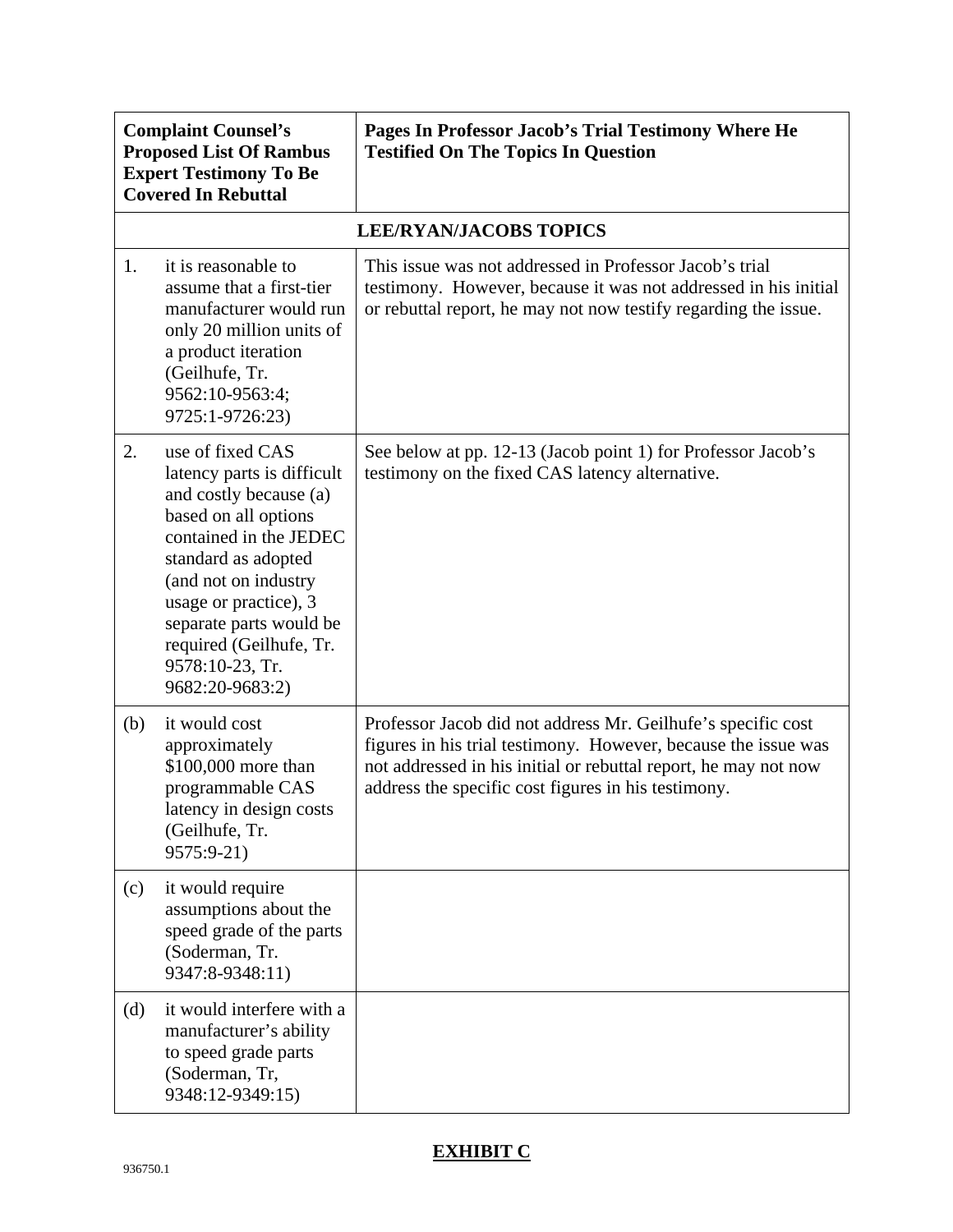| <b>Complaint Counsel's</b><br><b>Proposed List Of Rambus</b><br><b>Expert Testimony To Be</b><br><b>Covered In Rebuttal</b> |                                                                                                                                                                                                                                                                                                | Pages In Professor Jacob's Trial Testimony Where He<br><b>Testified On The Topics In Question</b>                                                                                                                                                        |
|-----------------------------------------------------------------------------------------------------------------------------|------------------------------------------------------------------------------------------------------------------------------------------------------------------------------------------------------------------------------------------------------------------------------------------------|----------------------------------------------------------------------------------------------------------------------------------------------------------------------------------------------------------------------------------------------------------|
|                                                                                                                             |                                                                                                                                                                                                                                                                                                | <b>LEE/RYAN/JACOBS TOPICS</b>                                                                                                                                                                                                                            |
| 1.                                                                                                                          | it is reasonable to<br>assume that a first-tier<br>manufacturer would run<br>only 20 million units of<br>a product iteration<br>(Geilhufe, Tr.<br>9562:10-9563:4;<br>9725:1-9726:23)                                                                                                           | This issue was not addressed in Professor Jacob's trial<br>testimony. However, because it was not addressed in his initial<br>or rebuttal report, he may not now testify regarding the issue.                                                            |
| 2.                                                                                                                          | use of fixed CAS<br>latency parts is difficult<br>and costly because (a)<br>based on all options<br>contained in the JEDEC<br>standard as adopted<br>(and not on industry<br>usage or practice), 3<br>separate parts would be<br>required (Geilhufe, Tr.<br>9578:10-23, Tr.<br>9682:20-9683:2) | See below at pp. 12-13 (Jacob point 1) for Professor Jacob's<br>testimony on the fixed CAS latency alternative.                                                                                                                                          |
| (b)                                                                                                                         | it would cost<br>approximately<br>\$100,000 more than<br>programmable CAS<br>latency in design costs<br>(Geilhufe, Tr.<br>9575:9-21)                                                                                                                                                           | Professor Jacob did not address Mr. Geilhufe's specific cost<br>figures in his trial testimony. However, because the issue was<br>not addressed in his initial or rebuttal report, he may not now<br>address the specific cost figures in his testimony. |
| (c)                                                                                                                         | it would require<br>assumptions about the<br>speed grade of the parts<br>(Soderman, Tr.<br>9347:8-9348:11)                                                                                                                                                                                     |                                                                                                                                                                                                                                                          |
| (d)                                                                                                                         | it would interfere with a<br>manufacturer's ability<br>to speed grade parts<br>(Soderman, Tr,<br>9348:12-9349:15)                                                                                                                                                                              |                                                                                                                                                                                                                                                          |

## **EXHIBIT C**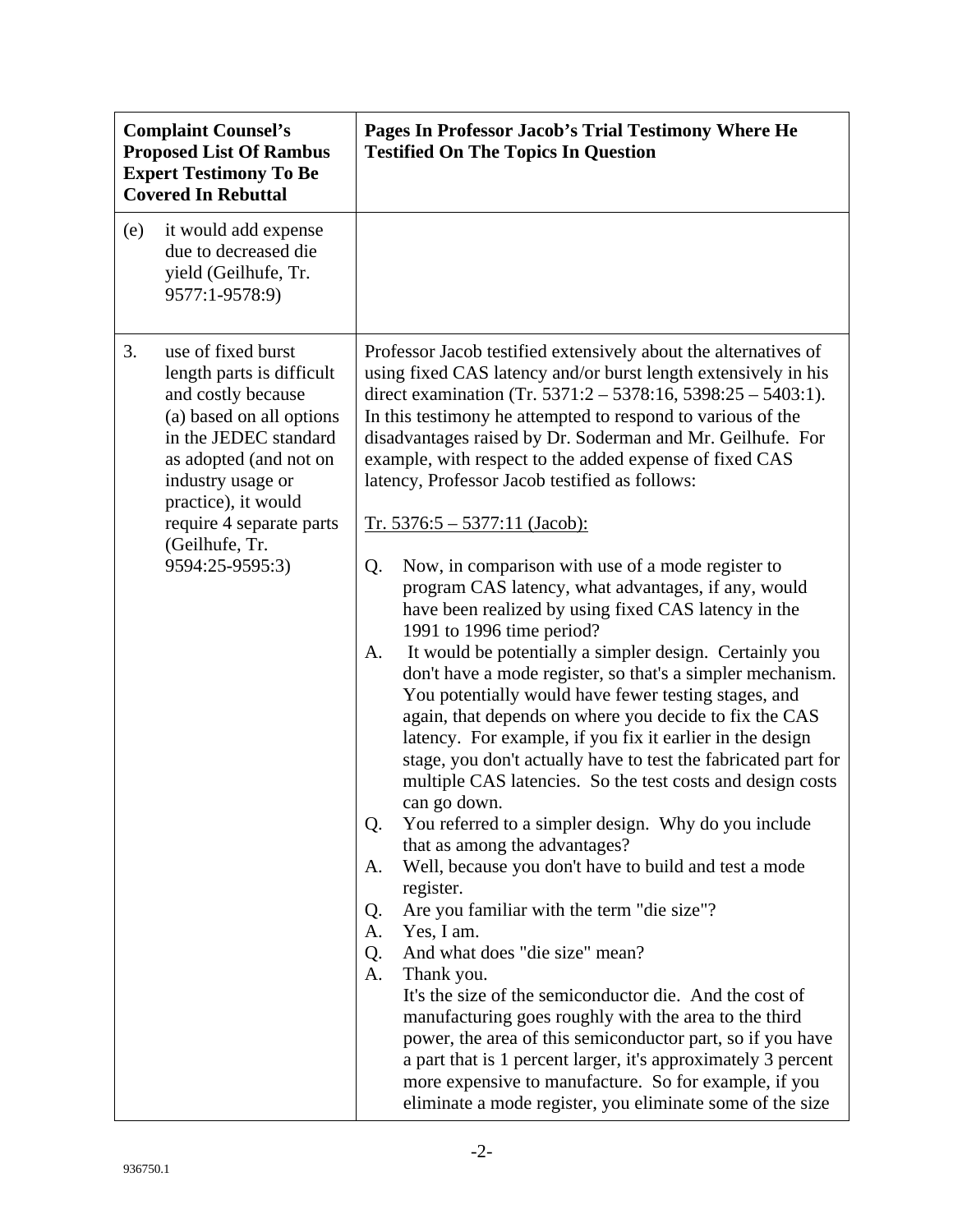| <b>Complaint Counsel's</b><br><b>Proposed List Of Rambus</b><br><b>Expert Testimony To Be</b><br><b>Covered In Rebuttal</b> |                                                                                                                                                                                                                                                                   | Pages In Professor Jacob's Trial Testimony Where He<br><b>Testified On The Topics In Question</b>                                                                                                                                                                                                                                                                                                                                                                                                                                                                                                                                                                                                                                                                                                                                                                                                                                                                                                                                                                                                                                                                                                                                                                                                                                                                                                                                                                                                                                                                                                                                                    |
|-----------------------------------------------------------------------------------------------------------------------------|-------------------------------------------------------------------------------------------------------------------------------------------------------------------------------------------------------------------------------------------------------------------|------------------------------------------------------------------------------------------------------------------------------------------------------------------------------------------------------------------------------------------------------------------------------------------------------------------------------------------------------------------------------------------------------------------------------------------------------------------------------------------------------------------------------------------------------------------------------------------------------------------------------------------------------------------------------------------------------------------------------------------------------------------------------------------------------------------------------------------------------------------------------------------------------------------------------------------------------------------------------------------------------------------------------------------------------------------------------------------------------------------------------------------------------------------------------------------------------------------------------------------------------------------------------------------------------------------------------------------------------------------------------------------------------------------------------------------------------------------------------------------------------------------------------------------------------------------------------------------------------------------------------------------------------|
| (e)                                                                                                                         | it would add expense<br>due to decreased die<br>yield (Geilhufe, Tr.<br>9577:1-9578:9)                                                                                                                                                                            |                                                                                                                                                                                                                                                                                                                                                                                                                                                                                                                                                                                                                                                                                                                                                                                                                                                                                                                                                                                                                                                                                                                                                                                                                                                                                                                                                                                                                                                                                                                                                                                                                                                      |
| 3.                                                                                                                          | use of fixed burst<br>length parts is difficult<br>and costly because<br>(a) based on all options<br>in the JEDEC standard<br>as adopted (and not on<br>industry usage or<br>practice), it would<br>require 4 separate parts<br>(Geilhufe, Tr.<br>9594:25-9595:3) | Professor Jacob testified extensively about the alternatives of<br>using fixed CAS latency and/or burst length extensively in his<br>direct examination (Tr. 5371:2 – 5378:16, 5398:25 – 5403:1).<br>In this testimony he attempted to respond to various of the<br>disadvantages raised by Dr. Soderman and Mr. Geilhufe. For<br>example, with respect to the added expense of fixed CAS<br>latency, Professor Jacob testified as follows:<br>$Tr. 5376:5 - 5377:11 (Jacob):$<br>Now, in comparison with use of a mode register to<br>Q.<br>program CAS latency, what advantages, if any, would<br>have been realized by using fixed CAS latency in the<br>1991 to 1996 time period?<br>It would be potentially a simpler design. Certainly you<br>A.<br>don't have a mode register, so that's a simpler mechanism.<br>You potentially would have fewer testing stages, and<br>again, that depends on where you decide to fix the CAS<br>latency. For example, if you fix it earlier in the design<br>stage, you don't actually have to test the fabricated part for<br>multiple CAS latencies. So the test costs and design costs<br>can go down.<br>You referred to a simpler design. Why do you include<br>Q.<br>that as among the advantages?<br>Well, because you don't have to build and test a mode<br>А.<br>register.<br>Are you familiar with the term "die size"?<br>Q.<br>Yes, I am.<br>А.<br>And what does "die size" mean?<br>Q.<br>Thank you.<br>A.<br>It's the size of the semiconductor die. And the cost of<br>manufacturing goes roughly with the area to the third<br>power, the area of this semiconductor part, so if you have |
|                                                                                                                             |                                                                                                                                                                                                                                                                   | a part that is 1 percent larger, it's approximately 3 percent<br>more expensive to manufacture. So for example, if you<br>eliminate a mode register, you eliminate some of the size                                                                                                                                                                                                                                                                                                                                                                                                                                                                                                                                                                                                                                                                                                                                                                                                                                                                                                                                                                                                                                                                                                                                                                                                                                                                                                                                                                                                                                                                  |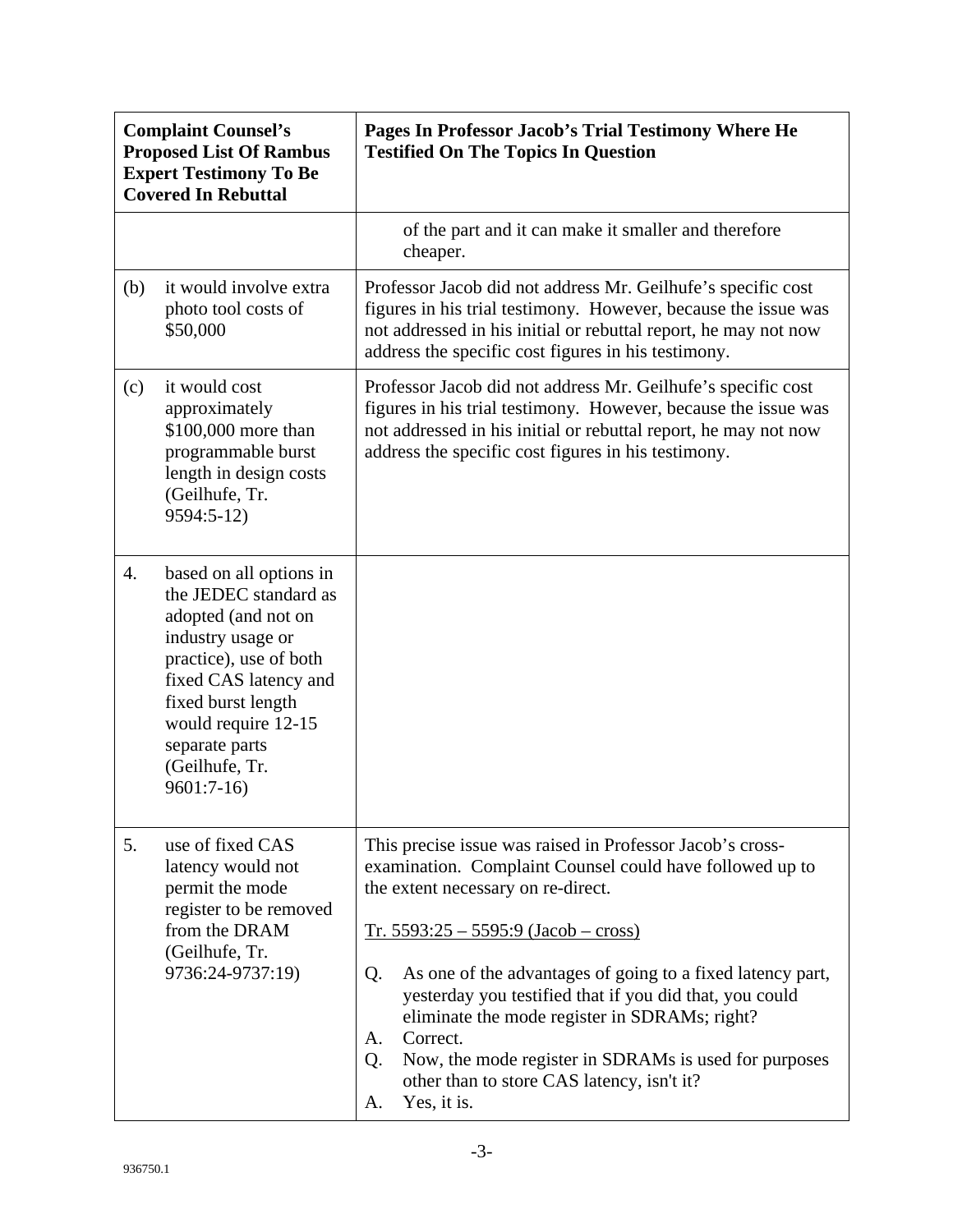| <b>Complaint Counsel's</b><br><b>Proposed List Of Rambus</b><br><b>Expert Testimony To Be</b><br><b>Covered In Rebuttal</b> |                                                                                                                                                                                                                                                 | Pages In Professor Jacob's Trial Testimony Where He<br><b>Testified On The Topics In Question</b>                                                                                                                                                                                                                                                                                                                                                                                                                                         |
|-----------------------------------------------------------------------------------------------------------------------------|-------------------------------------------------------------------------------------------------------------------------------------------------------------------------------------------------------------------------------------------------|-------------------------------------------------------------------------------------------------------------------------------------------------------------------------------------------------------------------------------------------------------------------------------------------------------------------------------------------------------------------------------------------------------------------------------------------------------------------------------------------------------------------------------------------|
|                                                                                                                             |                                                                                                                                                                                                                                                 | of the part and it can make it smaller and therefore<br>cheaper.                                                                                                                                                                                                                                                                                                                                                                                                                                                                          |
| (b)                                                                                                                         | it would involve extra<br>photo tool costs of<br>\$50,000                                                                                                                                                                                       | Professor Jacob did not address Mr. Geilhufe's specific cost<br>figures in his trial testimony. However, because the issue was<br>not addressed in his initial or rebuttal report, he may not now<br>address the specific cost figures in his testimony.                                                                                                                                                                                                                                                                                  |
| (c)                                                                                                                         | it would cost<br>approximately<br>\$100,000 more than<br>programmable burst<br>length in design costs<br>(Geilhufe, Tr.<br>9594:5-12)                                                                                                           | Professor Jacob did not address Mr. Geilhufe's specific cost<br>figures in his trial testimony. However, because the issue was<br>not addressed in his initial or rebuttal report, he may not now<br>address the specific cost figures in his testimony.                                                                                                                                                                                                                                                                                  |
| 4.                                                                                                                          | based on all options in<br>the JEDEC standard as<br>adopted (and not on<br>industry usage or<br>practice), use of both<br>fixed CAS latency and<br>fixed burst length<br>would require 12-15<br>separate parts<br>(Geilhufe, Tr.<br>$9601:7-16$ |                                                                                                                                                                                                                                                                                                                                                                                                                                                                                                                                           |
| 5.                                                                                                                          | use of fixed CAS<br>latency would not<br>permit the mode<br>register to be removed<br>from the DRAM<br>(Geilhufe, Tr.<br>9736:24-9737:19)                                                                                                       | This precise issue was raised in Professor Jacob's cross-<br>examination. Complaint Counsel could have followed up to<br>the extent necessary on re-direct.<br>$Tr. 5593:25 - 5595:9 (Jacob - cross)$<br>As one of the advantages of going to a fixed latency part,<br>Q.<br>yesterday you testified that if you did that, you could<br>eliminate the mode register in SDRAMs; right?<br>Correct.<br>А.<br>Now, the mode register in SDRAMs is used for purposes<br>Q.<br>other than to store CAS latency, isn't it?<br>Yes, it is.<br>А. |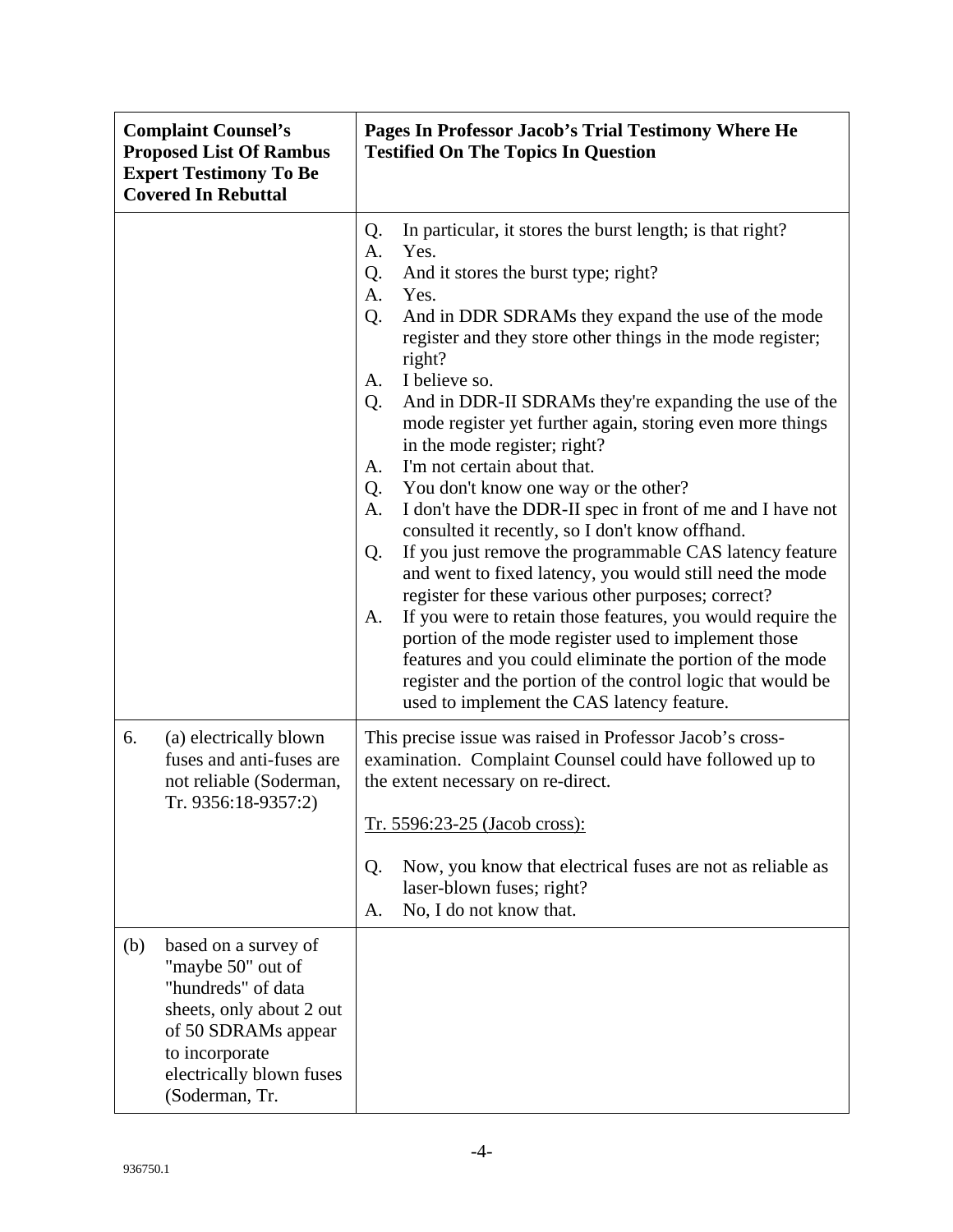| <b>Complaint Counsel's</b><br><b>Proposed List Of Rambus</b><br><b>Expert Testimony To Be</b><br><b>Covered In Rebuttal</b> |                                                                                                                                                                                    | Pages In Professor Jacob's Trial Testimony Where He<br><b>Testified On The Topics In Question</b>                                                                                                                                                                                                                                                                                                                                                                                                                                                                                                                                                                                                                                                                                                                                                                                                                                                                                                                                                                                                                                                                   |
|-----------------------------------------------------------------------------------------------------------------------------|------------------------------------------------------------------------------------------------------------------------------------------------------------------------------------|---------------------------------------------------------------------------------------------------------------------------------------------------------------------------------------------------------------------------------------------------------------------------------------------------------------------------------------------------------------------------------------------------------------------------------------------------------------------------------------------------------------------------------------------------------------------------------------------------------------------------------------------------------------------------------------------------------------------------------------------------------------------------------------------------------------------------------------------------------------------------------------------------------------------------------------------------------------------------------------------------------------------------------------------------------------------------------------------------------------------------------------------------------------------|
|                                                                                                                             |                                                                                                                                                                                    | In particular, it stores the burst length; is that right?<br>Q.<br>Yes.<br>A.<br>And it stores the burst type; right?<br>Q.<br>A.<br>Yes.<br>Q.<br>And in DDR SDRAMs they expand the use of the mode<br>register and they store other things in the mode register;<br>right?<br>I believe so.<br>A.<br>And in DDR-II SDRAMs they're expanding the use of the<br>Q.<br>mode register yet further again, storing even more things<br>in the mode register; right?<br>I'm not certain about that.<br>A.<br>You don't know one way or the other?<br>Q.<br>I don't have the DDR-II spec in front of me and I have not<br>A.<br>consulted it recently, so I don't know offhand.<br>If you just remove the programmable CAS latency feature<br>Q.<br>and went to fixed latency, you would still need the mode<br>register for these various other purposes; correct?<br>If you were to retain those features, you would require the<br>A.<br>portion of the mode register used to implement those<br>features and you could eliminate the portion of the mode<br>register and the portion of the control logic that would be<br>used to implement the CAS latency feature. |
| 6.                                                                                                                          | (a) electrically blown<br>fuses and anti-fuses are<br>not reliable (Soderman,<br>Tr. 9356:18-9357:2)                                                                               | This precise issue was raised in Professor Jacob's cross-<br>examination. Complaint Counsel could have followed up to<br>the extent necessary on re-direct.<br>Tr. 5596:23-25 (Jacob cross):<br>Now, you know that electrical fuses are not as reliable as<br>Q.<br>laser-blown fuses; right?<br>No, I do not know that.<br>A.                                                                                                                                                                                                                                                                                                                                                                                                                                                                                                                                                                                                                                                                                                                                                                                                                                      |
| (b)                                                                                                                         | based on a survey of<br>"maybe 50" out of<br>"hundreds" of data<br>sheets, only about 2 out<br>of 50 SDRAMs appear<br>to incorporate<br>electrically blown fuses<br>(Soderman, Tr. |                                                                                                                                                                                                                                                                                                                                                                                                                                                                                                                                                                                                                                                                                                                                                                                                                                                                                                                                                                                                                                                                                                                                                                     |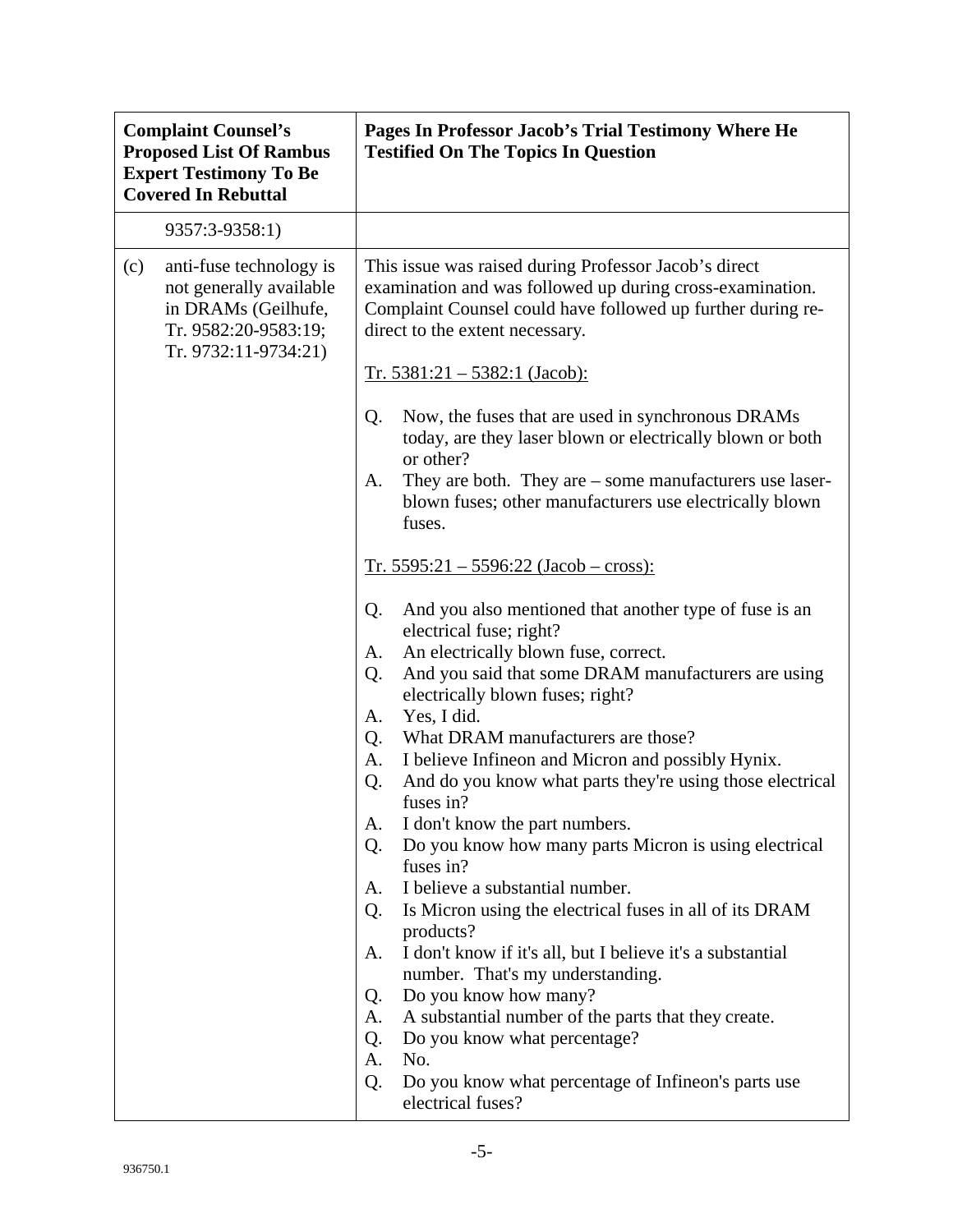| <b>Complaint Counsel's</b><br><b>Proposed List Of Rambus</b><br><b>Expert Testimony To Be</b><br><b>Covered In Rebuttal</b> |                                                                                                                           | Pages In Professor Jacob's Trial Testimony Where He<br><b>Testified On The Topics In Question</b>                                                                                                                                                                                                                                                                                                                                                                                                                                                                                                                                                                                                                                                                                                                                                                                                                                                                                                                                      |
|-----------------------------------------------------------------------------------------------------------------------------|---------------------------------------------------------------------------------------------------------------------------|----------------------------------------------------------------------------------------------------------------------------------------------------------------------------------------------------------------------------------------------------------------------------------------------------------------------------------------------------------------------------------------------------------------------------------------------------------------------------------------------------------------------------------------------------------------------------------------------------------------------------------------------------------------------------------------------------------------------------------------------------------------------------------------------------------------------------------------------------------------------------------------------------------------------------------------------------------------------------------------------------------------------------------------|
|                                                                                                                             | 9357:3-9358:1)                                                                                                            |                                                                                                                                                                                                                                                                                                                                                                                                                                                                                                                                                                                                                                                                                                                                                                                                                                                                                                                                                                                                                                        |
| (c)                                                                                                                         | anti-fuse technology is<br>not generally available<br>in DRAMs (Geilhufe,<br>Tr. 9582:20-9583:19;<br>Tr. 9732:11-9734:21) | This issue was raised during Professor Jacob's direct<br>examination and was followed up during cross-examination.<br>Complaint Counsel could have followed up further during re-<br>direct to the extent necessary.                                                                                                                                                                                                                                                                                                                                                                                                                                                                                                                                                                                                                                                                                                                                                                                                                   |
|                                                                                                                             |                                                                                                                           | $Tr. 5381:21 - 5382:1$ (Jacob):                                                                                                                                                                                                                                                                                                                                                                                                                                                                                                                                                                                                                                                                                                                                                                                                                                                                                                                                                                                                        |
|                                                                                                                             |                                                                                                                           | Now, the fuses that are used in synchronous DRAMs<br>Q.<br>today, are they laser blown or electrically blown or both<br>or other?<br>They are both. They are $-$ some manufacturers use laser-<br>A.<br>blown fuses; other manufacturers use electrically blown<br>fuses.                                                                                                                                                                                                                                                                                                                                                                                                                                                                                                                                                                                                                                                                                                                                                              |
|                                                                                                                             |                                                                                                                           | $Tr. 5595:21 - 5596:22 (Jacob - cross):$                                                                                                                                                                                                                                                                                                                                                                                                                                                                                                                                                                                                                                                                                                                                                                                                                                                                                                                                                                                               |
|                                                                                                                             |                                                                                                                           | And you also mentioned that another type of fuse is an<br>Q.<br>electrical fuse; right?<br>An electrically blown fuse, correct.<br>A.<br>And you said that some DRAM manufacturers are using<br>Q.<br>electrically blown fuses; right?<br>Yes, I did.<br>A.<br>What DRAM manufacturers are those?<br>Q.<br>I believe Infineon and Micron and possibly Hynix.<br>A.<br>And do you know what parts they're using those electrical<br>Q.<br>fuses in?<br>I don't know the part numbers.<br>А.<br>Do you know how many parts Micron is using electrical<br>Q.<br>fuses in?<br>I believe a substantial number.<br>A.<br>Is Micron using the electrical fuses in all of its DRAM<br>Q.<br>products?<br>I don't know if it's all, but I believe it's a substantial<br>A.<br>number. That's my understanding.<br>Do you know how many?<br>Q.<br>A substantial number of the parts that they create.<br>A.<br>Do you know what percentage?<br>Q.<br>No.<br>A.<br>Do you know what percentage of Infineon's parts use<br>Q.<br>electrical fuses? |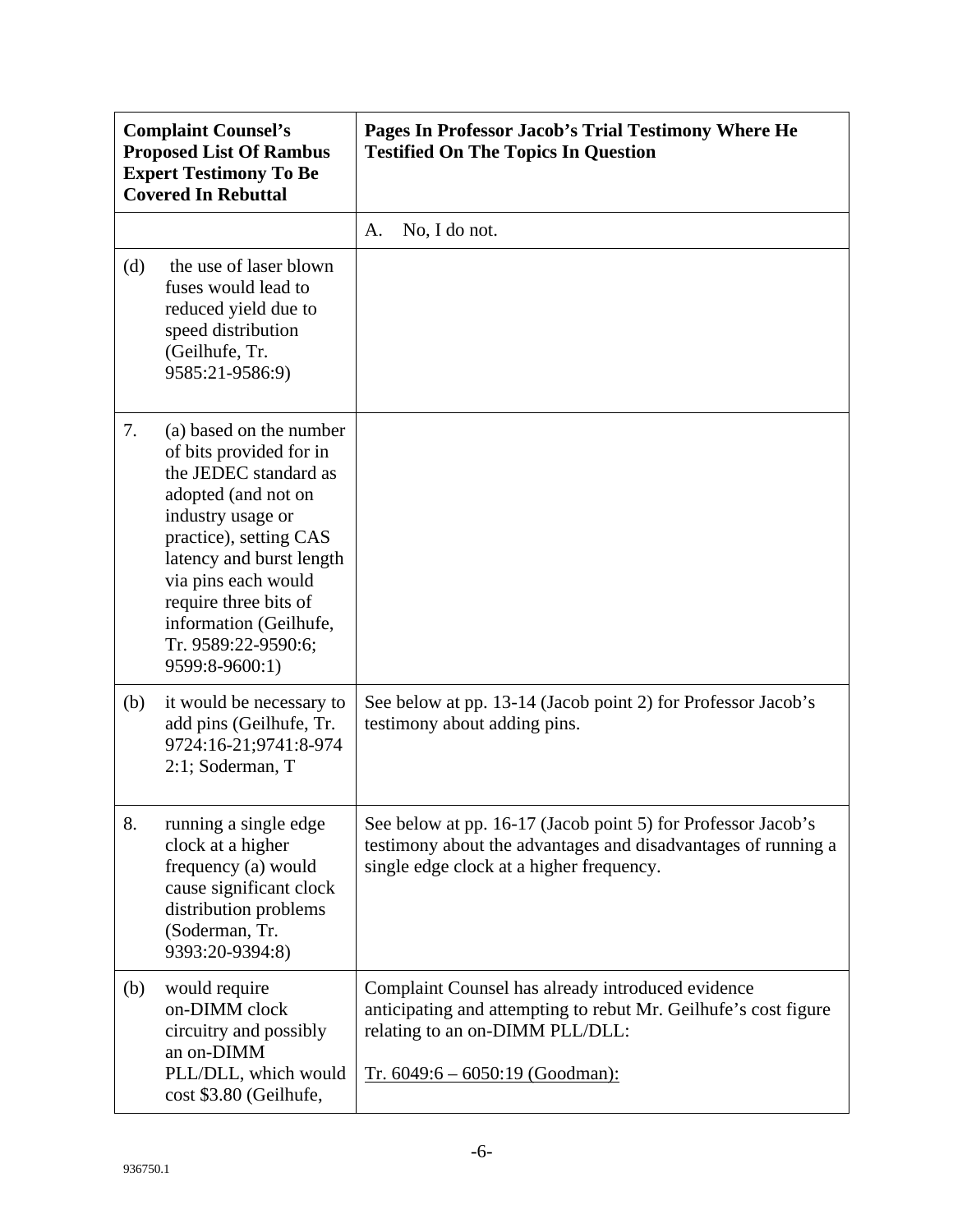| <b>Complaint Counsel's</b><br><b>Proposed List Of Rambus</b><br><b>Expert Testimony To Be</b><br><b>Covered In Rebuttal</b> |                                                                                                                                                                                                                                                                                                  | Pages In Professor Jacob's Trial Testimony Where He<br><b>Testified On The Topics In Question</b>                                                                                            |
|-----------------------------------------------------------------------------------------------------------------------------|--------------------------------------------------------------------------------------------------------------------------------------------------------------------------------------------------------------------------------------------------------------------------------------------------|----------------------------------------------------------------------------------------------------------------------------------------------------------------------------------------------|
|                                                                                                                             |                                                                                                                                                                                                                                                                                                  | No, I do not.<br>A.                                                                                                                                                                          |
| (d)                                                                                                                         | the use of laser blown<br>fuses would lead to<br>reduced yield due to<br>speed distribution<br>(Geilhufe, Tr.<br>9585:21-9586:9)                                                                                                                                                                 |                                                                                                                                                                                              |
| 7.                                                                                                                          | (a) based on the number<br>of bits provided for in<br>the JEDEC standard as<br>adopted (and not on<br>industry usage or<br>practice), setting CAS<br>latency and burst length<br>via pins each would<br>require three bits of<br>information (Geilhufe,<br>Tr. 9589:22-9590:6;<br>9599:8-9600:1) |                                                                                                                                                                                              |
| (b)                                                                                                                         | it would be necessary to<br>add pins (Geilhufe, Tr.<br>9724:16-21;9741:8-974<br>2:1; Soderman, T                                                                                                                                                                                                 | See below at pp. 13-14 (Jacob point 2) for Professor Jacob's<br>testimony about adding pins.                                                                                                 |
| 8.                                                                                                                          | running a single edge<br>clock at a higher<br>frequency (a) would<br>cause significant clock<br>distribution problems<br>(Soderman, Tr.<br>9393:20-9394:8)                                                                                                                                       | See below at pp. 16-17 (Jacob point 5) for Professor Jacob's<br>testimony about the advantages and disadvantages of running a<br>single edge clock at a higher frequency.                    |
| (b)                                                                                                                         | would require<br>on-DIMM clock<br>circuitry and possibly<br>an on-DIMM<br>PLL/DLL, which would<br>cost \$3.80 (Geilhufe,                                                                                                                                                                         | Complaint Counsel has already introduced evidence<br>anticipating and attempting to rebut Mr. Geilhufe's cost figure<br>relating to an on-DIMM PLL/DLL:<br>Tr. $6049:6 - 6050:19$ (Goodman): |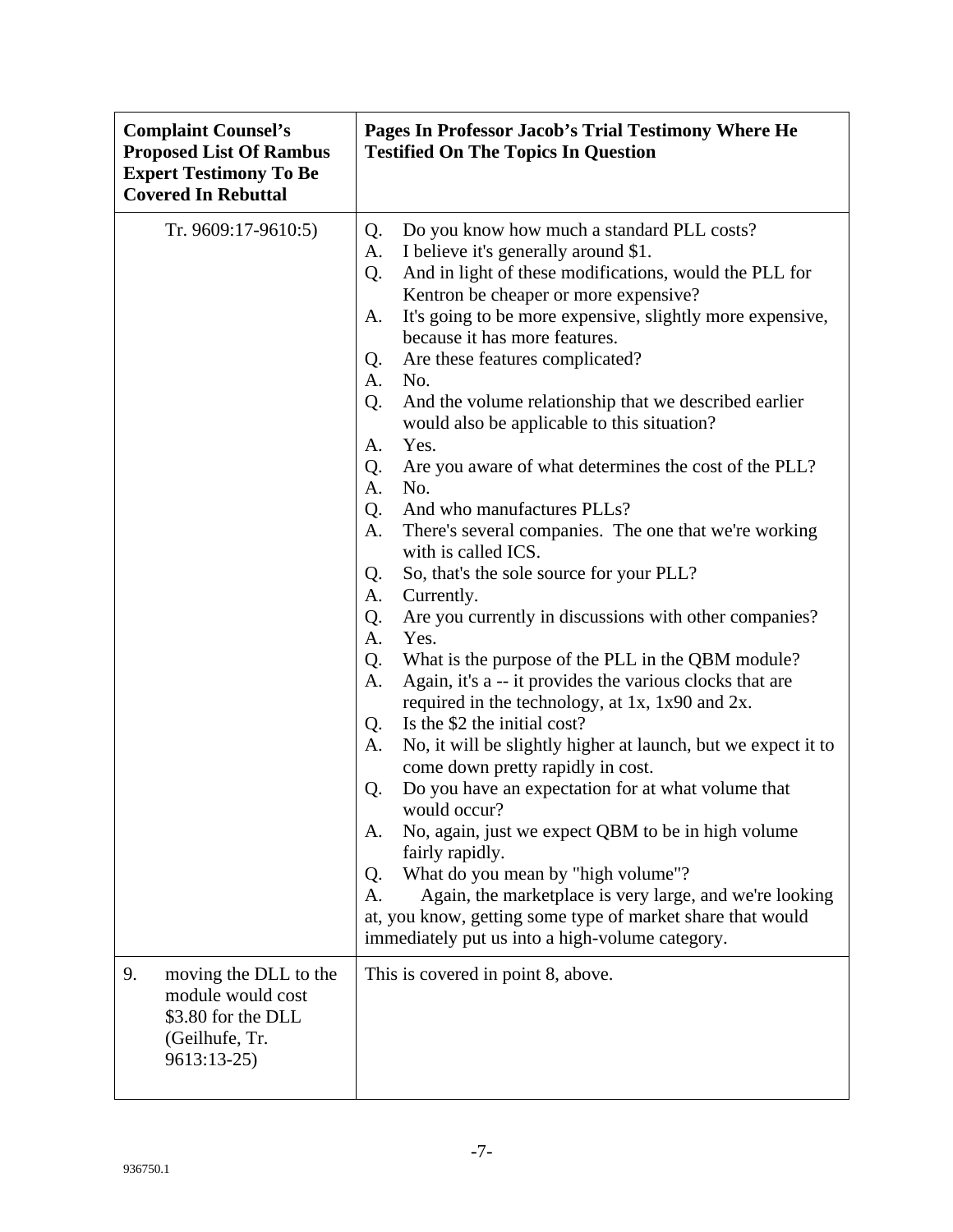| <b>Complaint Counsel's</b><br><b>Proposed List Of Rambus</b><br><b>Expert Testimony To Be</b><br><b>Covered In Rebuttal</b> | Pages In Professor Jacob's Trial Testimony Where He<br><b>Testified On The Topics In Question</b>                                                                                                                                                                                                                                                                                                                                                                                                                                                                                                                                                                                                                                                                                                                                                                                                                                                                                                                                                                                                                                                                                                                                                                                                                                                                                                                                                                                                                                                                                  |
|-----------------------------------------------------------------------------------------------------------------------------|------------------------------------------------------------------------------------------------------------------------------------------------------------------------------------------------------------------------------------------------------------------------------------------------------------------------------------------------------------------------------------------------------------------------------------------------------------------------------------------------------------------------------------------------------------------------------------------------------------------------------------------------------------------------------------------------------------------------------------------------------------------------------------------------------------------------------------------------------------------------------------------------------------------------------------------------------------------------------------------------------------------------------------------------------------------------------------------------------------------------------------------------------------------------------------------------------------------------------------------------------------------------------------------------------------------------------------------------------------------------------------------------------------------------------------------------------------------------------------------------------------------------------------------------------------------------------------|
| Tr. 9609:17-9610:5)                                                                                                         | Q.<br>Do you know how much a standard PLL costs?<br>I believe it's generally around \$1.<br>A.<br>And in light of these modifications, would the PLL for<br>Q.<br>Kentron be cheaper or more expensive?<br>It's going to be more expensive, slightly more expensive,<br>A.<br>because it has more features.<br>Are these features complicated?<br>Q.<br>No.<br>А.<br>And the volume relationship that we described earlier<br>Q.<br>would also be applicable to this situation?<br>A.<br>Yes.<br>Are you aware of what determines the cost of the PLL?<br>Q.<br>No.<br>А.<br>And who manufactures PLLs?<br>Q.<br>A.<br>There's several companies. The one that we're working<br>with is called ICS.<br>Q.<br>So, that's the sole source for your PLL?<br>А.<br>Currently.<br>Q.<br>Are you currently in discussions with other companies?<br>А.<br>Yes.<br>Q.<br>What is the purpose of the PLL in the QBM module?<br>Again, it's a -- it provides the various clocks that are<br>A.<br>required in the technology, at 1x, 1x90 and 2x.<br>Is the \$2 the initial cost?<br>Q.<br>No, it will be slightly higher at launch, but we expect it to<br>A.<br>come down pretty rapidly in cost.<br>Do you have an expectation for at what volume that<br>Q.<br>would occur?<br>No, again, just we expect QBM to be in high volume<br>A.<br>fairly rapidly.<br>What do you mean by "high volume"?<br>Q.<br>Again, the marketplace is very large, and we're looking<br>A.<br>at, you know, getting some type of market share that would<br>immediately put us into a high-volume category. |
| 9.<br>moving the DLL to the<br>module would cost<br>\$3.80 for the DLL<br>(Geilhufe, Tr.<br>9613:13-25)                     | This is covered in point 8, above.                                                                                                                                                                                                                                                                                                                                                                                                                                                                                                                                                                                                                                                                                                                                                                                                                                                                                                                                                                                                                                                                                                                                                                                                                                                                                                                                                                                                                                                                                                                                                 |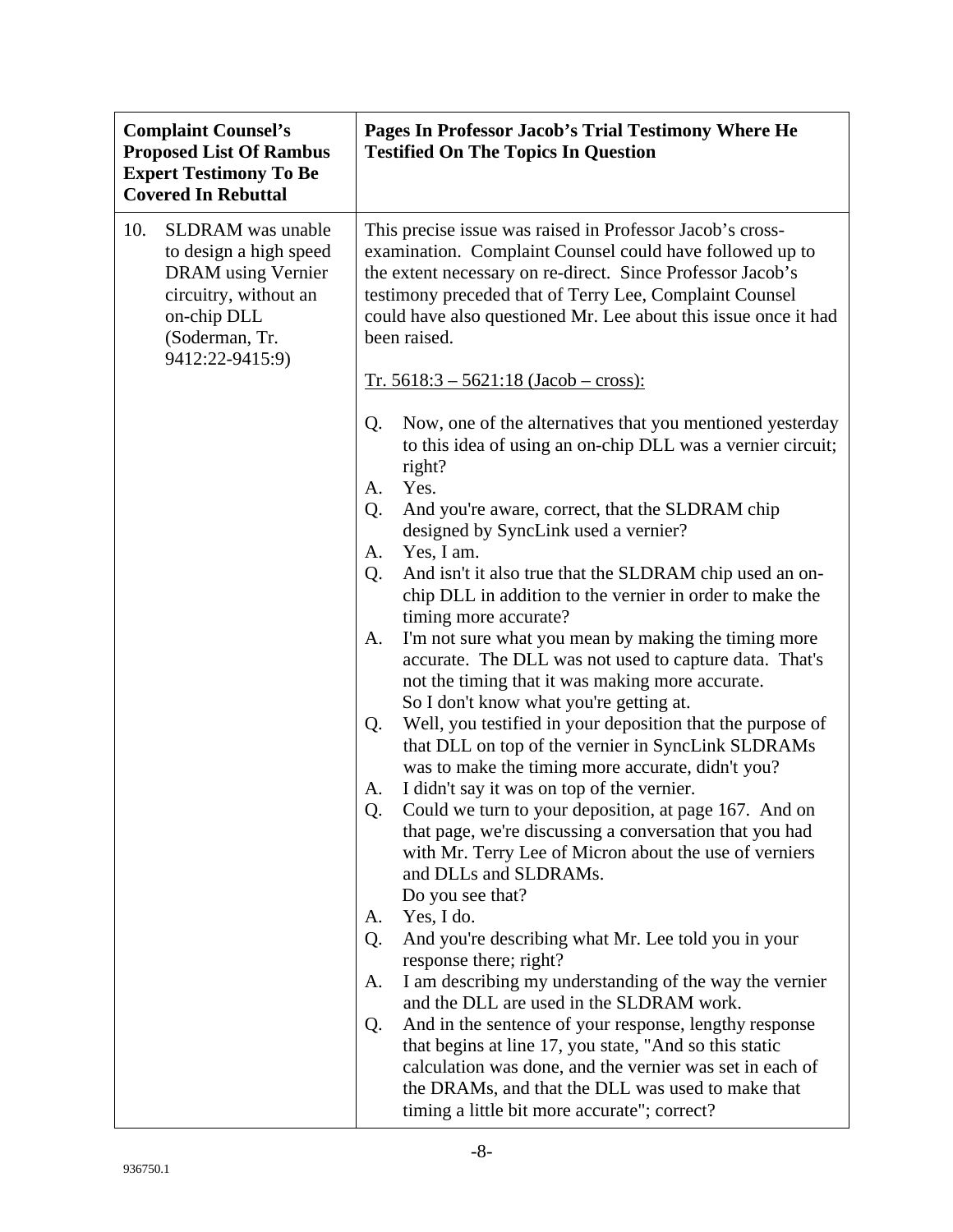| <b>Complaint Counsel's</b><br><b>Proposed List Of Rambus</b><br><b>Expert Testimony To Be</b><br><b>Covered In Rebuttal</b>                                  | Pages In Professor Jacob's Trial Testimony Where He<br><b>Testified On The Topics In Question</b>                                                                                                                                                                                                                                                                                                                                                                                                                                                                                                                                                                                                                                                                                                                                                                                                                                                                                                                                                                                                                                                                                                                                                                                                                                          |
|--------------------------------------------------------------------------------------------------------------------------------------------------------------|--------------------------------------------------------------------------------------------------------------------------------------------------------------------------------------------------------------------------------------------------------------------------------------------------------------------------------------------------------------------------------------------------------------------------------------------------------------------------------------------------------------------------------------------------------------------------------------------------------------------------------------------------------------------------------------------------------------------------------------------------------------------------------------------------------------------------------------------------------------------------------------------------------------------------------------------------------------------------------------------------------------------------------------------------------------------------------------------------------------------------------------------------------------------------------------------------------------------------------------------------------------------------------------------------------------------------------------------|
| 10.<br><b>SLDRAM</b> was unable<br>to design a high speed<br>DRAM using Vernier<br>circuitry, without an<br>on-chip DLL<br>(Soderman, Tr.<br>9412:22-9415:9) | This precise issue was raised in Professor Jacob's cross-<br>examination. Complaint Counsel could have followed up to<br>the extent necessary on re-direct. Since Professor Jacob's<br>testimony preceded that of Terry Lee, Complaint Counsel<br>could have also questioned Mr. Lee about this issue once it had<br>been raised.<br>$Tr. 5618:3 - 5621:18 (Jacob - cross):$<br>Now, one of the alternatives that you mentioned yesterday<br>Q.<br>to this idea of using an on-chip DLL was a vernier circuit;<br>right?<br>Yes.<br>A.<br>Q.<br>And you're aware, correct, that the SLDRAM chip<br>designed by SyncLink used a vernier?<br>Yes, I am.<br>A.<br>And isn't it also true that the SLDRAM chip used an on-<br>Q.<br>chip DLL in addition to the vernier in order to make the<br>timing more accurate?<br>I'm not sure what you mean by making the timing more<br>A.<br>accurate. The DLL was not used to capture data. That's<br>not the timing that it was making more accurate.<br>So I don't know what you're getting at.<br>Well, you testified in your deposition that the purpose of<br>Q.<br>that DLL on top of the vernier in SyncLink SLDRAMs<br>was to make the timing more accurate, didn't you?<br>I didn't say it was on top of the vernier.<br>А.<br>Could we turn to your deposition, at page 167. And on<br>Q. |
|                                                                                                                                                              | that page, we're discussing a conversation that you had<br>with Mr. Terry Lee of Micron about the use of verniers<br>and DLLs and SLDRAMs.<br>Do you see that?                                                                                                                                                                                                                                                                                                                                                                                                                                                                                                                                                                                                                                                                                                                                                                                                                                                                                                                                                                                                                                                                                                                                                                             |
|                                                                                                                                                              | Yes, I do.<br>A.<br>And you're describing what Mr. Lee told you in your<br>Q.<br>response there; right?<br>I am describing my understanding of the way the vernier<br>A.<br>and the DLL are used in the SLDRAM work.<br>And in the sentence of your response, lengthy response<br>Q.<br>that begins at line 17, you state, "And so this static<br>calculation was done, and the vernier was set in each of<br>the DRAMs, and that the DLL was used to make that<br>timing a little bit more accurate"; correct?                                                                                                                                                                                                                                                                                                                                                                                                                                                                                                                                                                                                                                                                                                                                                                                                                            |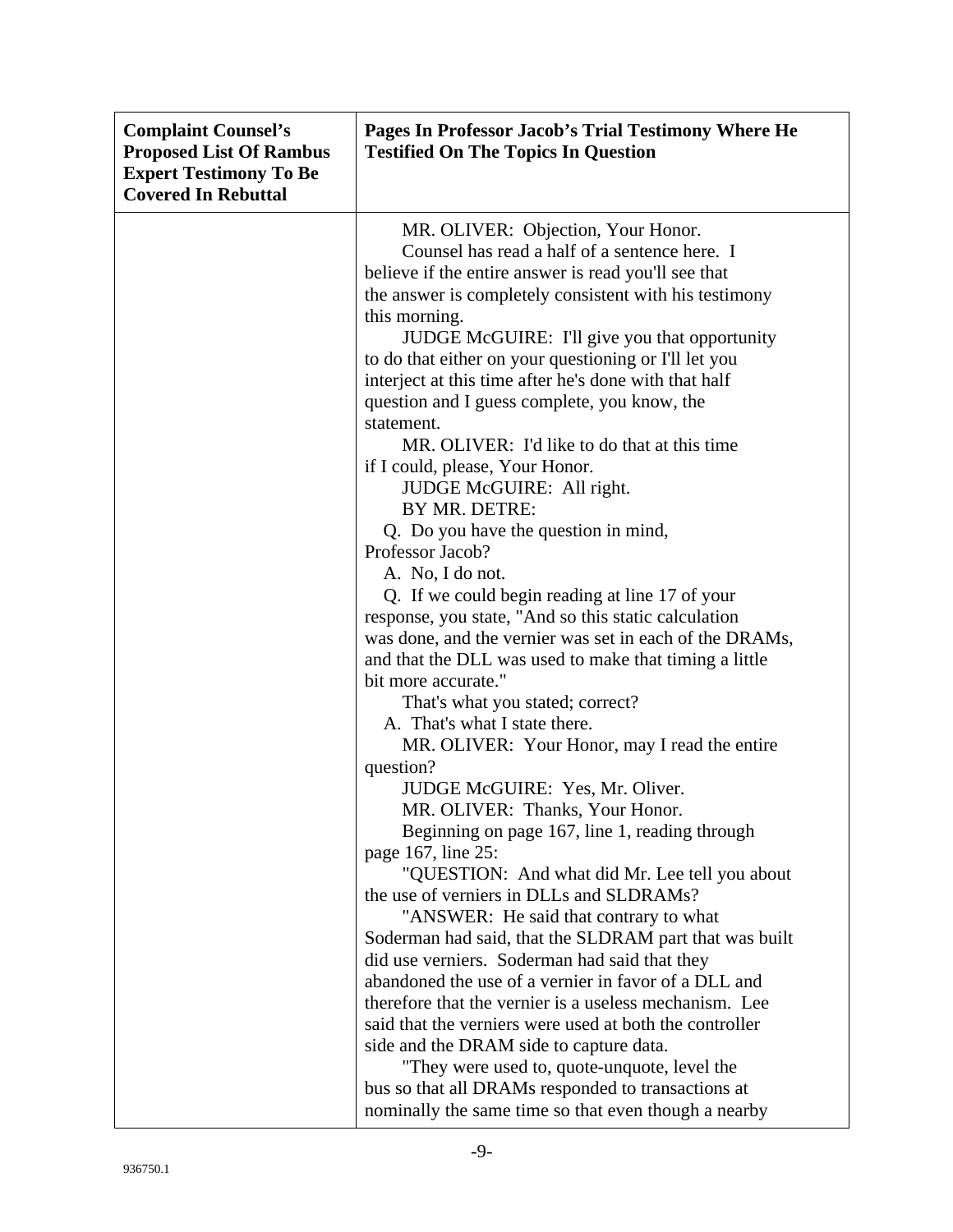| <b>Complaint Counsel's</b><br><b>Proposed List Of Rambus</b><br><b>Expert Testimony To Be</b><br><b>Covered In Rebuttal</b> | Pages In Professor Jacob's Trial Testimony Where He<br><b>Testified On The Topics In Question</b> |
|-----------------------------------------------------------------------------------------------------------------------------|---------------------------------------------------------------------------------------------------|
|                                                                                                                             | MR. OLIVER: Objection, Your Honor.                                                                |
|                                                                                                                             | Counsel has read a half of a sentence here. I                                                     |
|                                                                                                                             | believe if the entire answer is read you'll see that                                              |
|                                                                                                                             | the answer is completely consistent with his testimony                                            |
|                                                                                                                             | this morning.                                                                                     |
|                                                                                                                             | JUDGE McGUIRE: I'll give you that opportunity                                                     |
|                                                                                                                             | to do that either on your questioning or I'll let you                                             |
|                                                                                                                             | interject at this time after he's done with that half                                             |
|                                                                                                                             | question and I guess complete, you know, the                                                      |
|                                                                                                                             | statement.                                                                                        |
|                                                                                                                             | MR. OLIVER: I'd like to do that at this time                                                      |
|                                                                                                                             | if I could, please, Your Honor.                                                                   |
|                                                                                                                             | JUDGE McGUIRE: All right.                                                                         |
|                                                                                                                             | BY MR. DETRE:                                                                                     |
|                                                                                                                             | Q. Do you have the question in mind,                                                              |
|                                                                                                                             | Professor Jacob?                                                                                  |
|                                                                                                                             | A. No, I do not.                                                                                  |
|                                                                                                                             | Q. If we could begin reading at line 17 of your                                                   |
|                                                                                                                             | response, you state, "And so this static calculation                                              |
|                                                                                                                             | was done, and the vernier was set in each of the DRAMs,                                           |
|                                                                                                                             | and that the DLL was used to make that timing a little                                            |
|                                                                                                                             | bit more accurate."                                                                               |
|                                                                                                                             | That's what you stated; correct?                                                                  |
|                                                                                                                             | A. That's what I state there.                                                                     |
|                                                                                                                             | MR. OLIVER: Your Honor, may I read the entire                                                     |
|                                                                                                                             | question?                                                                                         |
|                                                                                                                             | JUDGE McGUIRE: Yes, Mr. Oliver.                                                                   |
|                                                                                                                             | MR. OLIVER: Thanks, Your Honor.<br>Beginning on page 167, line 1, reading through                 |
|                                                                                                                             | page 167, line 25:                                                                                |
|                                                                                                                             | "QUESTION: And what did Mr. Lee tell you about                                                    |
|                                                                                                                             | the use of verniers in DLLs and SLDRAMs?                                                          |
|                                                                                                                             | "ANSWER: He said that contrary to what                                                            |
|                                                                                                                             | Soderman had said, that the SLDRAM part that was built                                            |
|                                                                                                                             | did use verniers. Soderman had said that they                                                     |
|                                                                                                                             | abandoned the use of a vernier in favor of a DLL and                                              |
|                                                                                                                             | therefore that the vernier is a useless mechanism. Lee                                            |
|                                                                                                                             | said that the verniers were used at both the controller                                           |
|                                                                                                                             | side and the DRAM side to capture data.                                                           |
|                                                                                                                             | "They were used to, quote-unquote, level the                                                      |
|                                                                                                                             | bus so that all DRAMs responded to transactions at                                                |
|                                                                                                                             | nominally the same time so that even though a nearby                                              |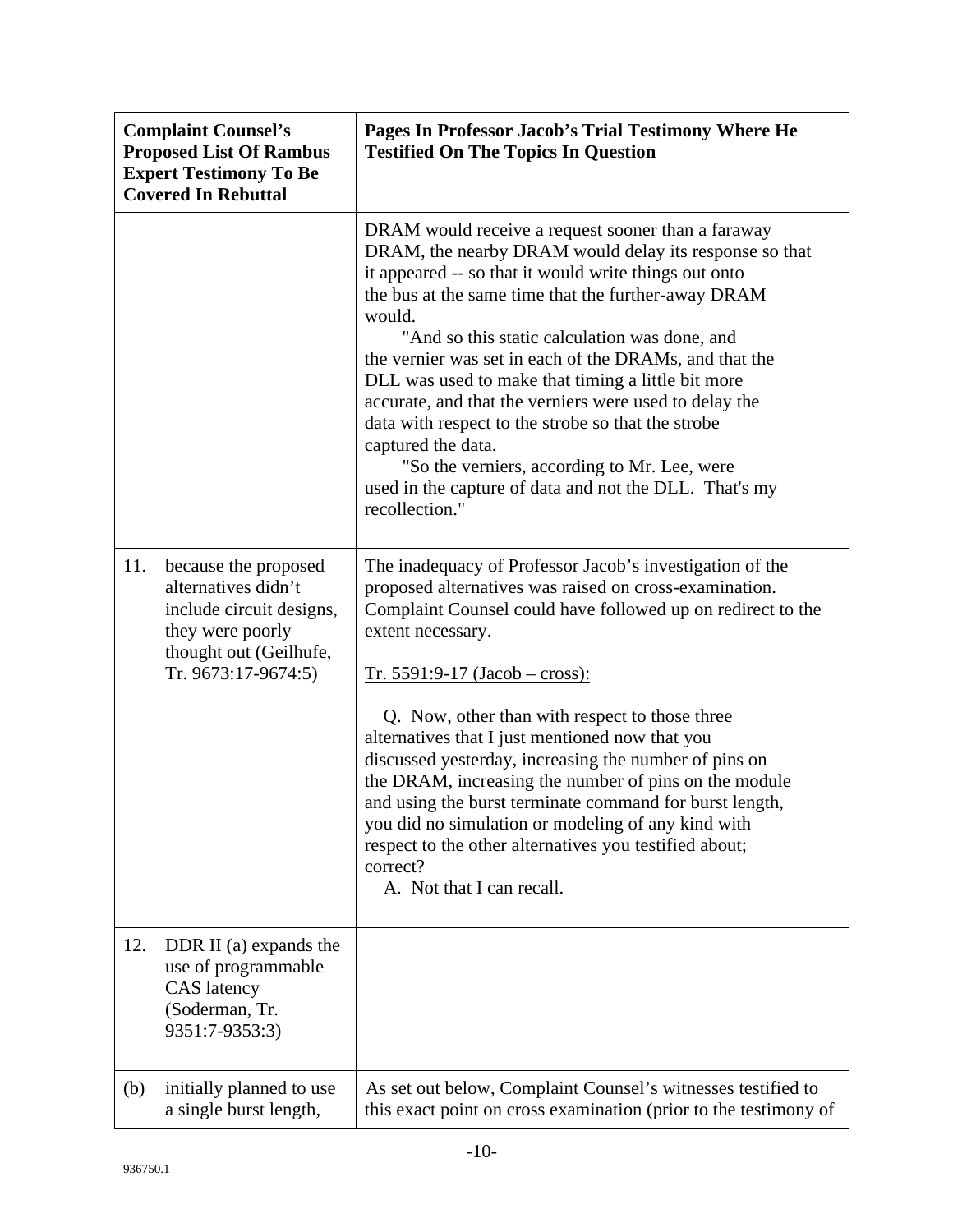|     | <b>Complaint Counsel's</b><br><b>Proposed List Of Rambus</b><br><b>Expert Testimony To Be</b><br><b>Covered In Rebuttal</b>                  | Pages In Professor Jacob's Trial Testimony Where He<br><b>Testified On The Topics In Question</b>                                                                                                                                                                                                                                                                                                                                                                                                                                                                                                                                                                                     |
|-----|----------------------------------------------------------------------------------------------------------------------------------------------|---------------------------------------------------------------------------------------------------------------------------------------------------------------------------------------------------------------------------------------------------------------------------------------------------------------------------------------------------------------------------------------------------------------------------------------------------------------------------------------------------------------------------------------------------------------------------------------------------------------------------------------------------------------------------------------|
|     |                                                                                                                                              | DRAM would receive a request sooner than a faraway<br>DRAM, the nearby DRAM would delay its response so that<br>it appeared -- so that it would write things out onto<br>the bus at the same time that the further-away DRAM<br>would.<br>"And so this static calculation was done, and<br>the vernier was set in each of the DRAMs, and that the<br>DLL was used to make that timing a little bit more<br>accurate, and that the verniers were used to delay the<br>data with respect to the strobe so that the strobe<br>captured the data.<br>"So the verniers, according to Mr. Lee, were<br>used in the capture of data and not the DLL. That's my<br>recollection."             |
| 11. | because the proposed<br>alternatives didn't<br>include circuit designs,<br>they were poorly<br>thought out (Geilhufe,<br>Tr. 9673:17-9674:5) | The inadequacy of Professor Jacob's investigation of the<br>proposed alternatives was raised on cross-examination.<br>Complaint Counsel could have followed up on redirect to the<br>extent necessary.<br>$Tr. 5591:9-17 (Jacob - cross):$<br>Q. Now, other than with respect to those three<br>alternatives that I just mentioned now that you<br>discussed yesterday, increasing the number of pins on<br>the DRAM, increasing the number of pins on the module<br>and using the burst terminate command for burst length,<br>you did no simulation or modeling of any kind with<br>respect to the other alternatives you testified about;<br>correct?<br>A. Not that I can recall. |
| 12. | DDR II (a) expands the<br>use of programmable<br><b>CAS</b> latency<br>(Soderman, Tr.<br>9351:7-9353:3)                                      |                                                                                                                                                                                                                                                                                                                                                                                                                                                                                                                                                                                                                                                                                       |
| (b) | initially planned to use<br>a single burst length,                                                                                           | As set out below, Complaint Counsel's witnesses testified to<br>this exact point on cross examination (prior to the testimony of                                                                                                                                                                                                                                                                                                                                                                                                                                                                                                                                                      |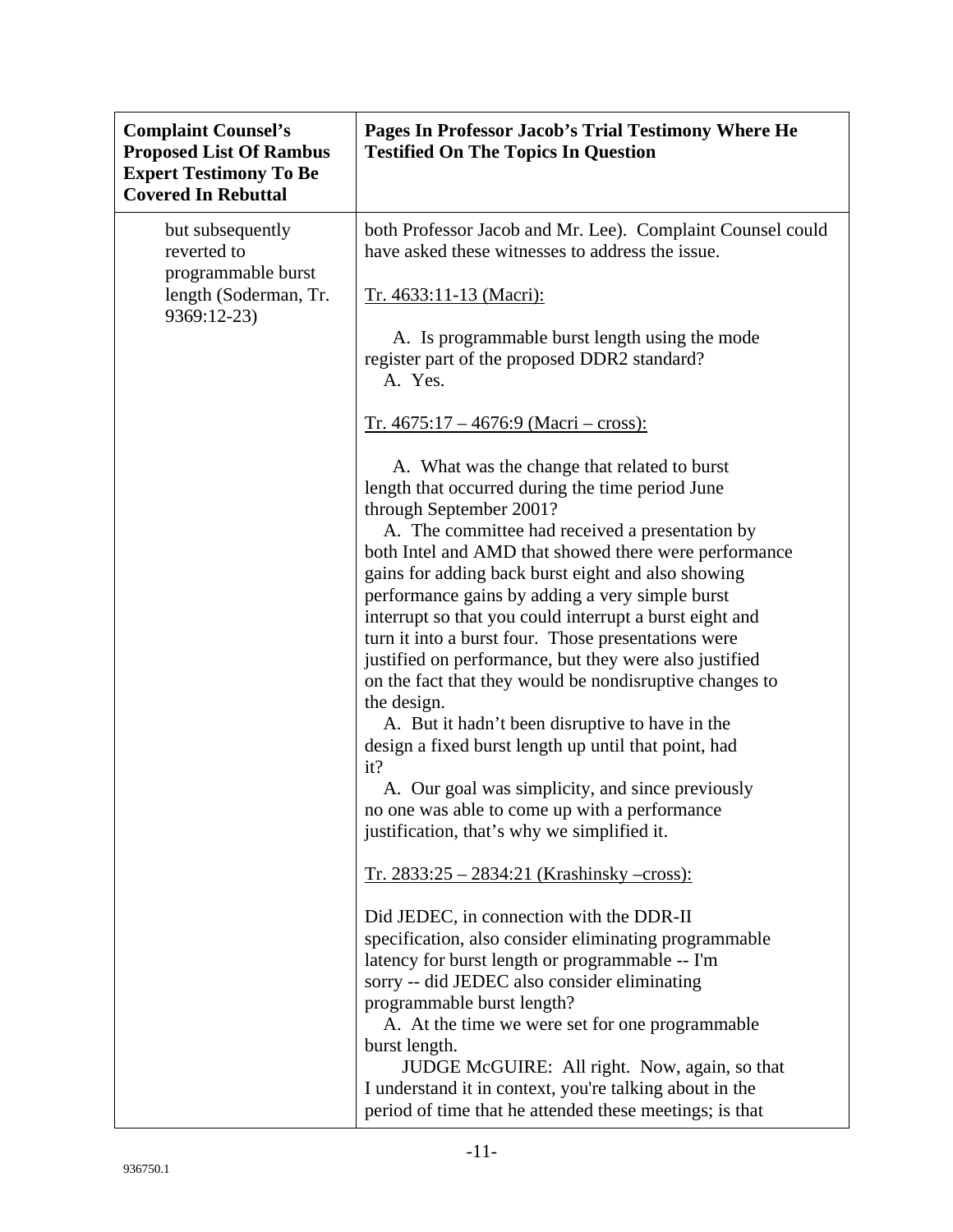| <b>Complaint Counsel's</b><br><b>Proposed List Of Rambus</b><br><b>Expert Testimony To Be</b><br><b>Covered In Rebuttal</b> | Pages In Professor Jacob's Trial Testimony Where He<br><b>Testified On The Topics In Question</b>                                                                                                                                                                                                                                                                                                                                                                                                                                                                                                                                                                                                                                                                                                                                                                            |
|-----------------------------------------------------------------------------------------------------------------------------|------------------------------------------------------------------------------------------------------------------------------------------------------------------------------------------------------------------------------------------------------------------------------------------------------------------------------------------------------------------------------------------------------------------------------------------------------------------------------------------------------------------------------------------------------------------------------------------------------------------------------------------------------------------------------------------------------------------------------------------------------------------------------------------------------------------------------------------------------------------------------|
| but subsequently<br>reverted to<br>programmable burst                                                                       | both Professor Jacob and Mr. Lee). Complaint Counsel could<br>have asked these witnesses to address the issue.                                                                                                                                                                                                                                                                                                                                                                                                                                                                                                                                                                                                                                                                                                                                                               |
| length (Soderman, Tr.<br>9369:12-23)                                                                                        | <u>Tr. 4633:11-13 (Macri):</u>                                                                                                                                                                                                                                                                                                                                                                                                                                                                                                                                                                                                                                                                                                                                                                                                                                               |
|                                                                                                                             | A. Is programmable burst length using the mode<br>register part of the proposed DDR2 standard?<br>A. Yes.                                                                                                                                                                                                                                                                                                                                                                                                                                                                                                                                                                                                                                                                                                                                                                    |
|                                                                                                                             | $Tr. 4675:17 - 4676:9 (Macri - cross):$                                                                                                                                                                                                                                                                                                                                                                                                                                                                                                                                                                                                                                                                                                                                                                                                                                      |
|                                                                                                                             | A. What was the change that related to burst<br>length that occurred during the time period June<br>through September 2001?<br>A. The committee had received a presentation by<br>both Intel and AMD that showed there were performance<br>gains for adding back burst eight and also showing<br>performance gains by adding a very simple burst<br>interrupt so that you could interrupt a burst eight and<br>turn it into a burst four. Those presentations were<br>justified on performance, but they were also justified<br>on the fact that they would be nondisruptive changes to<br>the design.<br>A. But it hadn't been disruptive to have in the<br>design a fixed burst length up until that point, had<br>it?<br>A. Our goal was simplicity, and since previously<br>no one was able to come up with a performance<br>justification, that's why we simplified it. |
|                                                                                                                             | $Tr. 2833:25 - 2834:21$ (Krashinsky –cross):                                                                                                                                                                                                                                                                                                                                                                                                                                                                                                                                                                                                                                                                                                                                                                                                                                 |
|                                                                                                                             | Did JEDEC, in connection with the DDR-II<br>specification, also consider eliminating programmable<br>latency for burst length or programmable -- I'm<br>sorry -- did JEDEC also consider eliminating<br>programmable burst length?<br>A. At the time we were set for one programmable<br>burst length.<br>JUDGE McGUIRE: All right. Now, again, so that<br>I understand it in context, you're talking about in the<br>period of time that he attended these meetings; is that                                                                                                                                                                                                                                                                                                                                                                                                |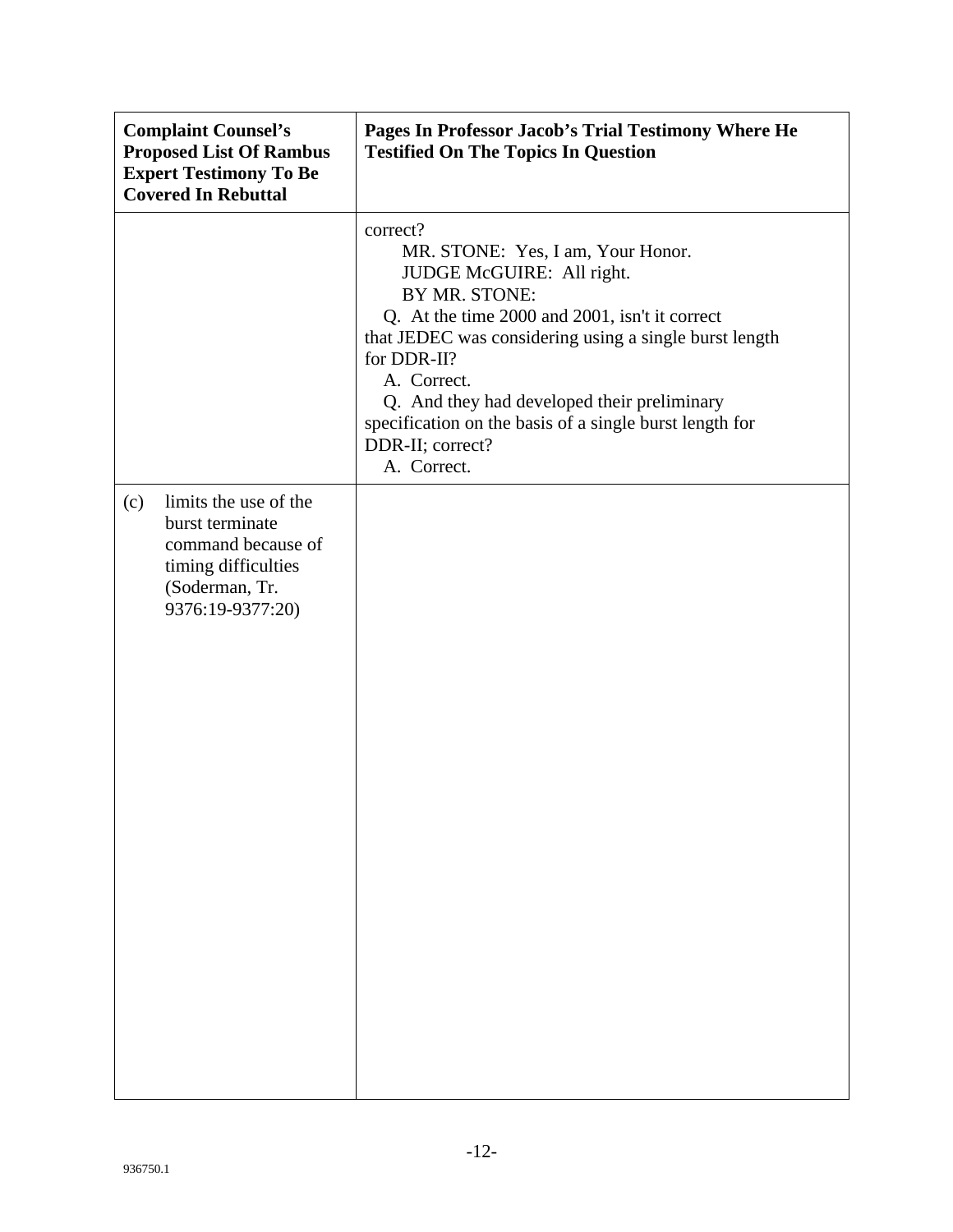| <b>Complaint Counsel's</b><br><b>Proposed List Of Rambus</b><br><b>Expert Testimony To Be</b><br><b>Covered In Rebuttal</b>        | Pages In Professor Jacob's Trial Testimony Where He<br><b>Testified On The Topics In Question</b>                                                                                                                                                                                                                                                                                  |
|------------------------------------------------------------------------------------------------------------------------------------|------------------------------------------------------------------------------------------------------------------------------------------------------------------------------------------------------------------------------------------------------------------------------------------------------------------------------------------------------------------------------------|
|                                                                                                                                    | correct?<br>MR. STONE: Yes, I am, Your Honor.<br>JUDGE McGUIRE: All right.<br>BY MR. STONE:<br>Q. At the time 2000 and 2001, isn't it correct<br>that JEDEC was considering using a single burst length<br>for DDR-II?<br>A. Correct.<br>Q. And they had developed their preliminary<br>specification on the basis of a single burst length for<br>DDR-II; correct?<br>A. Correct. |
| limits the use of the<br>(c)<br>burst terminate<br>command because of<br>timing difficulties<br>(Soderman, Tr.<br>9376:19-9377:20) |                                                                                                                                                                                                                                                                                                                                                                                    |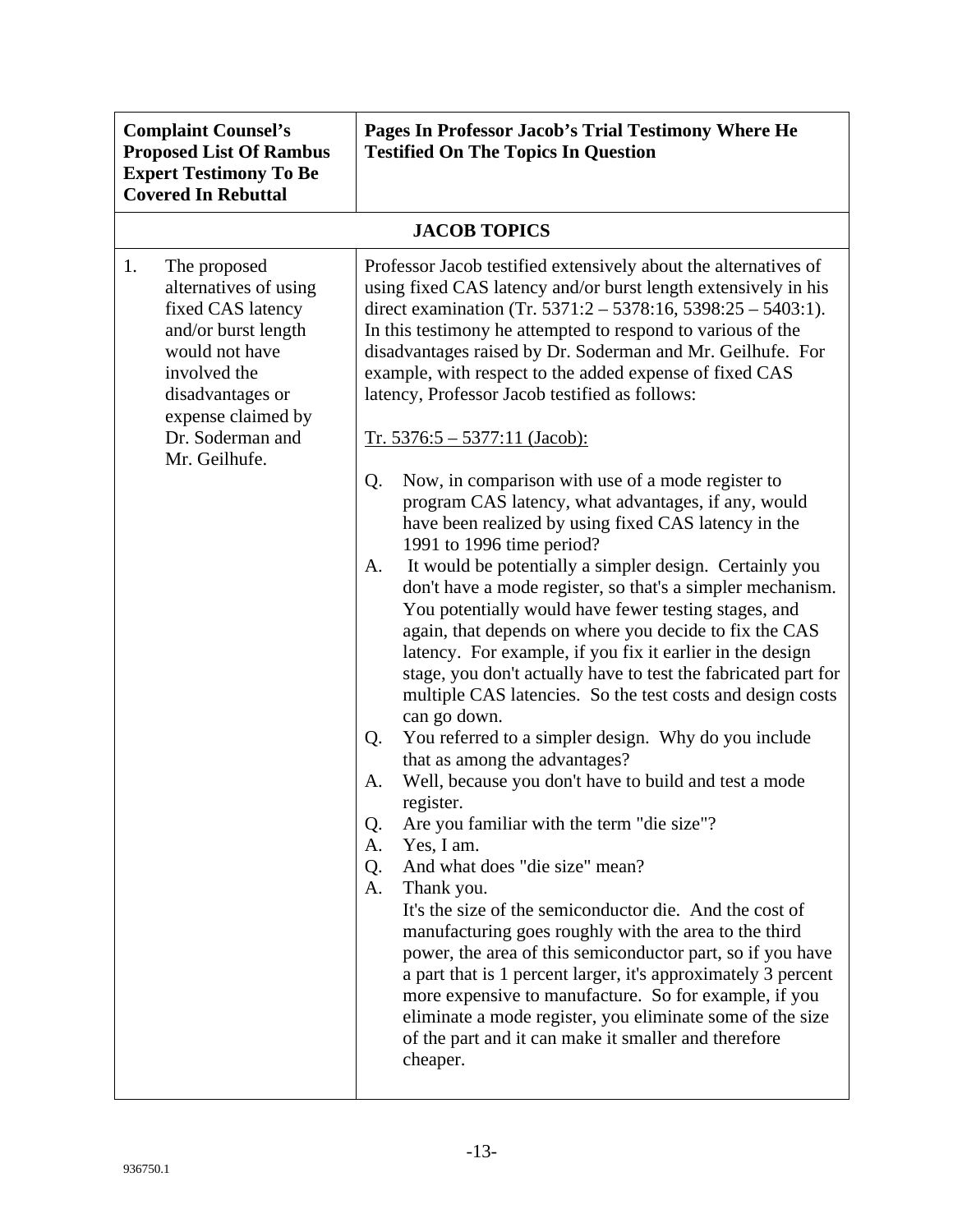| <b>Complaint Counsel's</b><br><b>Proposed List Of Rambus</b><br><b>Expert Testimony To Be</b><br><b>Covered In Rebuttal</b>                                                                              | Pages In Professor Jacob's Trial Testimony Where He<br><b>Testified On The Topics In Question</b>                                                                                                                                                                                                                                                                                                                                                                                                                                                                                                                                                                                                                                                                                                                                                                                                                                                                                                                                                                                                                                                                                                                                                                                                                                                                                                                                                                                                                                                                                                                                                                                                                                                                                                                                                                                                               |  |
|----------------------------------------------------------------------------------------------------------------------------------------------------------------------------------------------------------|-----------------------------------------------------------------------------------------------------------------------------------------------------------------------------------------------------------------------------------------------------------------------------------------------------------------------------------------------------------------------------------------------------------------------------------------------------------------------------------------------------------------------------------------------------------------------------------------------------------------------------------------------------------------------------------------------------------------------------------------------------------------------------------------------------------------------------------------------------------------------------------------------------------------------------------------------------------------------------------------------------------------------------------------------------------------------------------------------------------------------------------------------------------------------------------------------------------------------------------------------------------------------------------------------------------------------------------------------------------------------------------------------------------------------------------------------------------------------------------------------------------------------------------------------------------------------------------------------------------------------------------------------------------------------------------------------------------------------------------------------------------------------------------------------------------------------------------------------------------------------------------------------------------------|--|
| <b>JACOB TOPICS</b>                                                                                                                                                                                      |                                                                                                                                                                                                                                                                                                                                                                                                                                                                                                                                                                                                                                                                                                                                                                                                                                                                                                                                                                                                                                                                                                                                                                                                                                                                                                                                                                                                                                                                                                                                                                                                                                                                                                                                                                                                                                                                                                                 |  |
| 1.<br>The proposed<br>alternatives of using<br>fixed CAS latency<br>and/or burst length<br>would not have<br>involved the<br>disadvantages or<br>expense claimed by<br>Dr. Soderman and<br>Mr. Geilhufe. | Professor Jacob testified extensively about the alternatives of<br>using fixed CAS latency and/or burst length extensively in his<br>direct examination (Tr. 5371:2 – 5378:16, 5398:25 – 5403:1).<br>In this testimony he attempted to respond to various of the<br>disadvantages raised by Dr. Soderman and Mr. Geilhufe. For<br>example, with respect to the added expense of fixed CAS<br>latency, Professor Jacob testified as follows:<br>$Tr. 5376:5 - 5377:11 (Jacob):$<br>Now, in comparison with use of a mode register to<br>Q.<br>program CAS latency, what advantages, if any, would<br>have been realized by using fixed CAS latency in the<br>1991 to 1996 time period?<br>It would be potentially a simpler design. Certainly you<br>A.<br>don't have a mode register, so that's a simpler mechanism.<br>You potentially would have fewer testing stages, and<br>again, that depends on where you decide to fix the CAS<br>latency. For example, if you fix it earlier in the design<br>stage, you don't actually have to test the fabricated part for<br>multiple CAS latencies. So the test costs and design costs<br>can go down.<br>You referred to a simpler design. Why do you include<br>Q.<br>that as among the advantages?<br>Well, because you don't have to build and test a mode<br>Α.<br>register.<br>Are you familiar with the term "die size"?<br>Q.<br>Yes, I am.<br>А.<br>And what does "die size" mean?<br>Q.<br>Thank you.<br>A.<br>It's the size of the semiconductor die. And the cost of<br>manufacturing goes roughly with the area to the third<br>power, the area of this semiconductor part, so if you have<br>a part that is 1 percent larger, it's approximately 3 percent<br>more expensive to manufacture. So for example, if you<br>eliminate a mode register, you eliminate some of the size<br>of the part and it can make it smaller and therefore<br>cheaper. |  |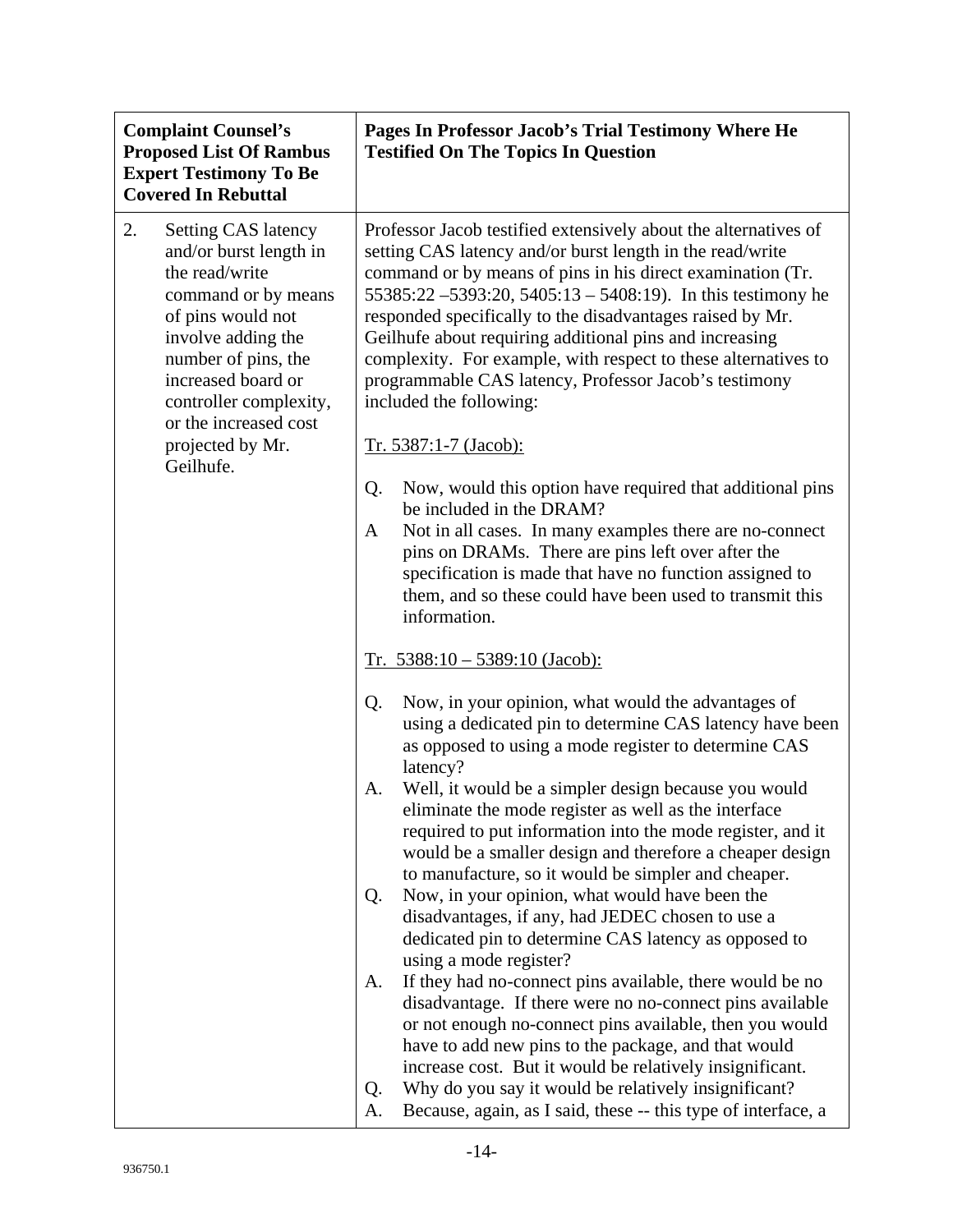| <b>Complaint Counsel's</b><br><b>Proposed List Of Rambus</b><br><b>Expert Testimony To Be</b><br><b>Covered In Rebuttal</b>                                                                                                                    | Pages In Professor Jacob's Trial Testimony Where He<br><b>Testified On The Topics In Question</b>                                                                                                                                                                                                                                                                                                                                                                                                                                                                |
|------------------------------------------------------------------------------------------------------------------------------------------------------------------------------------------------------------------------------------------------|------------------------------------------------------------------------------------------------------------------------------------------------------------------------------------------------------------------------------------------------------------------------------------------------------------------------------------------------------------------------------------------------------------------------------------------------------------------------------------------------------------------------------------------------------------------|
| 2.<br><b>Setting CAS latency</b><br>and/or burst length in<br>the read/write<br>command or by means<br>of pins would not<br>involve adding the<br>number of pins, the<br>increased board or<br>controller complexity,<br>or the increased cost | Professor Jacob testified extensively about the alternatives of<br>setting CAS latency and/or burst length in the read/write<br>command or by means of pins in his direct examination (Tr.<br>55385:22 -5393:20, 5405:13 - 5408:19). In this testimony he<br>responded specifically to the disadvantages raised by Mr.<br>Geilhufe about requiring additional pins and increasing<br>complexity. For example, with respect to these alternatives to<br>programmable CAS latency, Professor Jacob's testimony<br>included the following:<br>Tr. 5387:1-7 (Jacob): |
| projected by Mr.<br>Geilhufe.                                                                                                                                                                                                                  | Now, would this option have required that additional pins<br>Q.<br>be included in the DRAM?<br>Not in all cases. In many examples there are no-connect<br>A<br>pins on DRAMs. There are pins left over after the<br>specification is made that have no function assigned to<br>them, and so these could have been used to transmit this<br>information.                                                                                                                                                                                                          |
|                                                                                                                                                                                                                                                | $Tr. 5388:10 - 5389:10$ (Jacob):                                                                                                                                                                                                                                                                                                                                                                                                                                                                                                                                 |
|                                                                                                                                                                                                                                                | Now, in your opinion, what would the advantages of<br>Q.<br>using a dedicated pin to determine CAS latency have been<br>as opposed to using a mode register to determine CAS                                                                                                                                                                                                                                                                                                                                                                                     |
|                                                                                                                                                                                                                                                | latency?<br>Well, it would be a simpler design because you would<br>А.<br>eliminate the mode register as well as the interface<br>required to put information into the mode register, and it<br>would be a smaller design and therefore a cheaper design<br>to manufacture, so it would be simpler and cheaper.                                                                                                                                                                                                                                                  |
|                                                                                                                                                                                                                                                | Now, in your opinion, what would have been the<br>Q.<br>disadvantages, if any, had JEDEC chosen to use a<br>dedicated pin to determine CAS latency as opposed to<br>using a mode register?                                                                                                                                                                                                                                                                                                                                                                       |
|                                                                                                                                                                                                                                                | If they had no-connect pins available, there would be no<br>A.<br>disadvantage. If there were no no-connect pins available<br>or not enough no-connect pins available, then you would<br>have to add new pins to the package, and that would<br>increase cost. But it would be relatively insignificant.<br>Why do you say it would be relatively insignificant?<br>Q.<br>Because, again, as I said, these -- this type of interface, a<br>А.                                                                                                                    |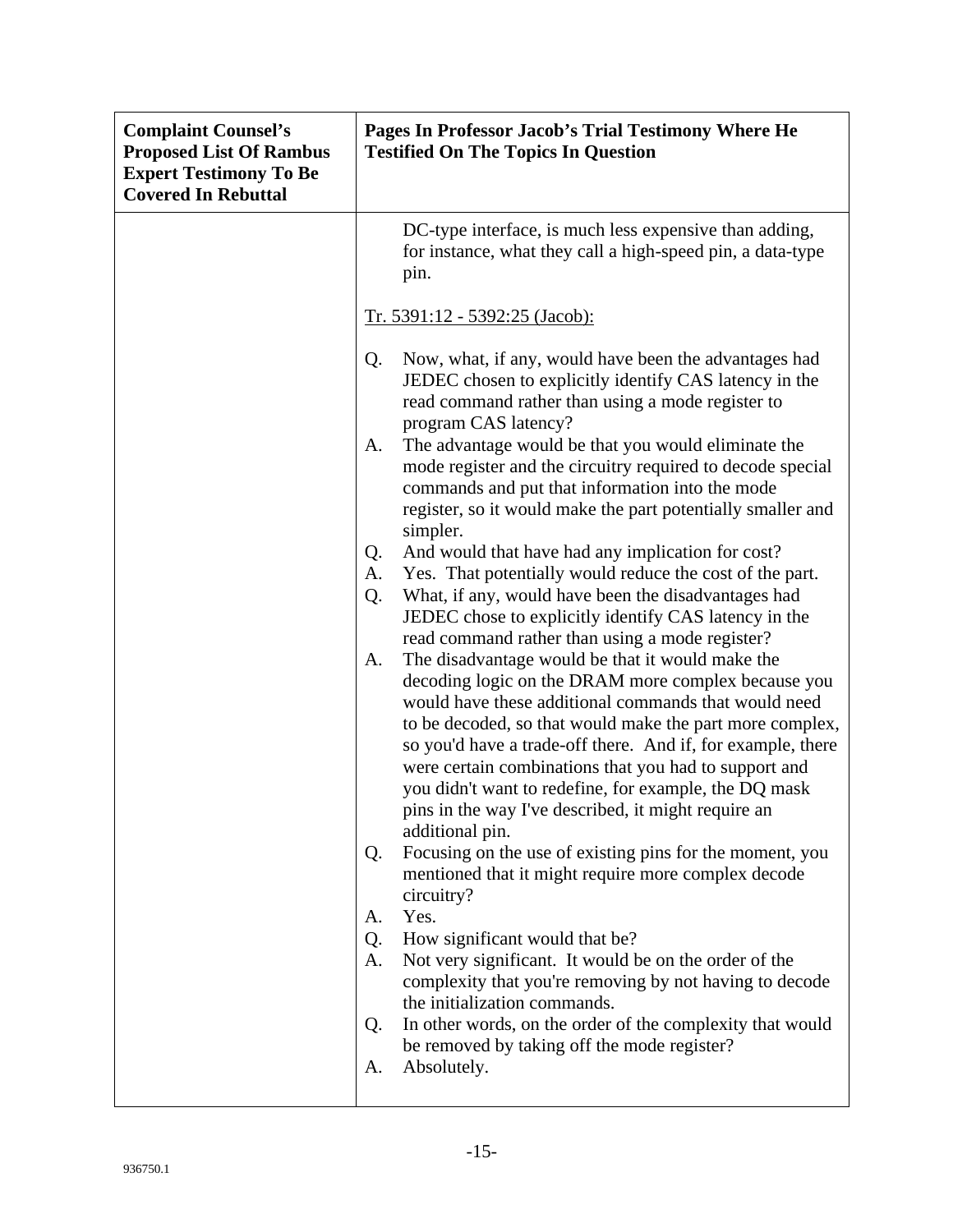| <b>Complaint Counsel's</b><br><b>Proposed List Of Rambus</b><br><b>Expert Testimony To Be</b><br><b>Covered In Rebuttal</b> | Pages In Professor Jacob's Trial Testimony Where He<br><b>Testified On The Topics In Question</b>                                                                                                                                                                                                                                                                                                                                                                                                                                                                                                                                                                                                                                                                                                                                                                                                                                                                                                                                                                                                                                                                                       |
|-----------------------------------------------------------------------------------------------------------------------------|-----------------------------------------------------------------------------------------------------------------------------------------------------------------------------------------------------------------------------------------------------------------------------------------------------------------------------------------------------------------------------------------------------------------------------------------------------------------------------------------------------------------------------------------------------------------------------------------------------------------------------------------------------------------------------------------------------------------------------------------------------------------------------------------------------------------------------------------------------------------------------------------------------------------------------------------------------------------------------------------------------------------------------------------------------------------------------------------------------------------------------------------------------------------------------------------|
|                                                                                                                             | DC-type interface, is much less expensive than adding,<br>for instance, what they call a high-speed pin, a data-type<br>pin.                                                                                                                                                                                                                                                                                                                                                                                                                                                                                                                                                                                                                                                                                                                                                                                                                                                                                                                                                                                                                                                            |
|                                                                                                                             | <u>Tr. 5391:12 - 5392:25 (Jacob):</u>                                                                                                                                                                                                                                                                                                                                                                                                                                                                                                                                                                                                                                                                                                                                                                                                                                                                                                                                                                                                                                                                                                                                                   |
|                                                                                                                             | Now, what, if any, would have been the advantages had<br>Q.<br>JEDEC chosen to explicitly identify CAS latency in the<br>read command rather than using a mode register to<br>program CAS latency?<br>The advantage would be that you would eliminate the<br>A.<br>mode register and the circuitry required to decode special<br>commands and put that information into the mode<br>register, so it would make the part potentially smaller and<br>simpler.<br>And would that have had any implication for cost?<br>Q.<br>Yes. That potentially would reduce the cost of the part.<br>A.<br>What, if any, would have been the disadvantages had<br>Q.<br>JEDEC chose to explicitly identify CAS latency in the<br>read command rather than using a mode register?<br>The disadvantage would be that it would make the<br>A.<br>decoding logic on the DRAM more complex because you<br>would have these additional commands that would need<br>to be decoded, so that would make the part more complex,<br>so you'd have a trade-off there. And if, for example, there<br>were certain combinations that you had to support and<br>you didn't want to redefine, for example, the DQ mask |
|                                                                                                                             | pins in the way I've described, it might require an<br>additional pin.<br>Focusing on the use of existing pins for the moment, you<br>Q.<br>mentioned that it might require more complex decode<br>circuitry?                                                                                                                                                                                                                                                                                                                                                                                                                                                                                                                                                                                                                                                                                                                                                                                                                                                                                                                                                                           |
|                                                                                                                             | Yes.<br>A.<br>How significant would that be?<br>Q.<br>Not very significant. It would be on the order of the<br>A.<br>complexity that you're removing by not having to decode<br>the initialization commands.<br>In other words, on the order of the complexity that would<br>Q.                                                                                                                                                                                                                                                                                                                                                                                                                                                                                                                                                                                                                                                                                                                                                                                                                                                                                                         |
|                                                                                                                             | be removed by taking off the mode register?<br>Absolutely.<br>А.                                                                                                                                                                                                                                                                                                                                                                                                                                                                                                                                                                                                                                                                                                                                                                                                                                                                                                                                                                                                                                                                                                                        |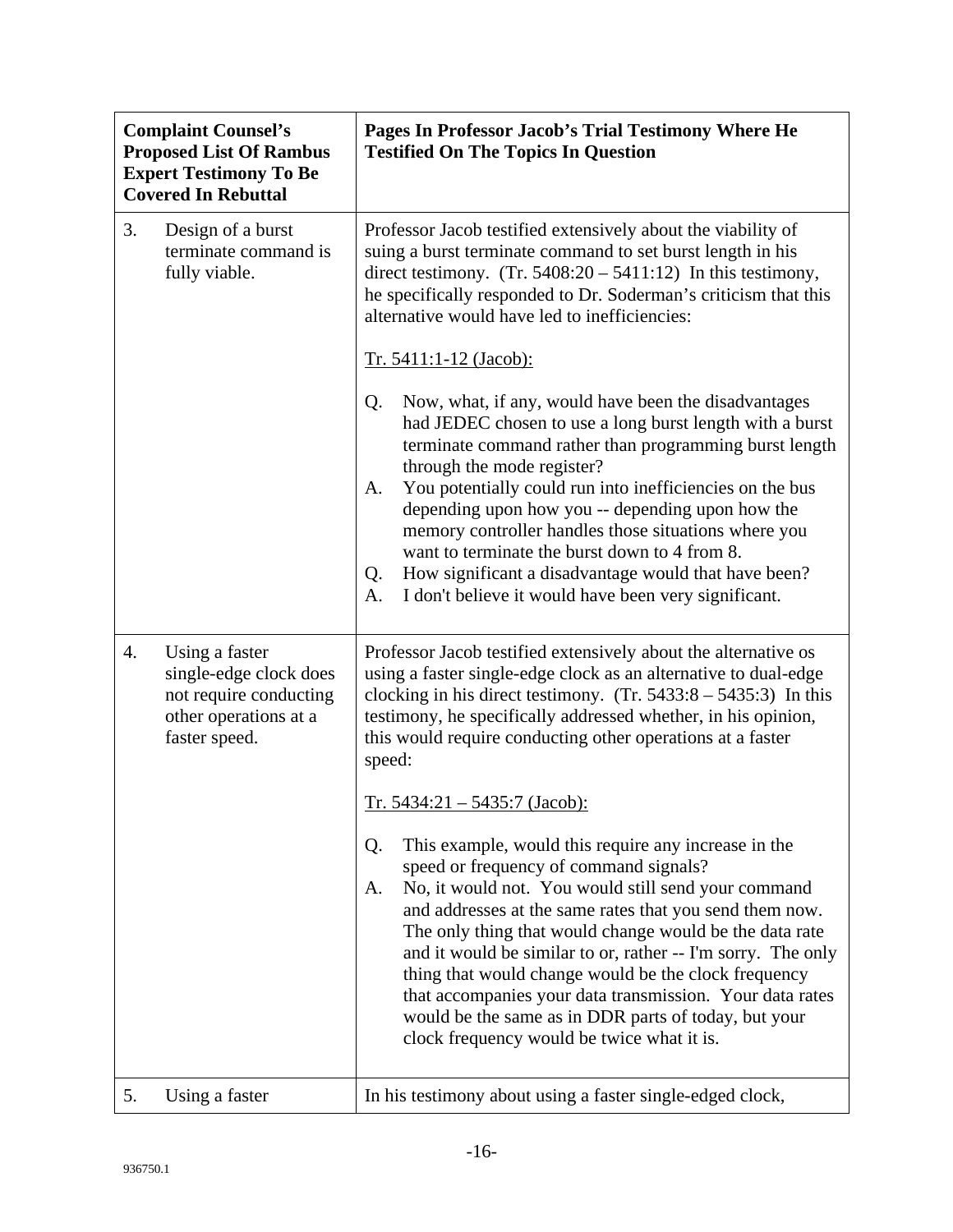|    | <b>Complaint Counsel's</b><br><b>Proposed List Of Rambus</b><br><b>Expert Testimony To Be</b><br><b>Covered In Rebuttal</b> | Pages In Professor Jacob's Trial Testimony Where He<br><b>Testified On The Topics In Question</b>                                                                                                                                                                                                                                                                                                                                                                                                                                                                                 |
|----|-----------------------------------------------------------------------------------------------------------------------------|-----------------------------------------------------------------------------------------------------------------------------------------------------------------------------------------------------------------------------------------------------------------------------------------------------------------------------------------------------------------------------------------------------------------------------------------------------------------------------------------------------------------------------------------------------------------------------------|
| 3. | Design of a burst<br>terminate command is<br>fully viable.                                                                  | Professor Jacob testified extensively about the viability of<br>suing a burst terminate command to set burst length in his<br>direct testimony. $(Tr. 5408:20 - 5411:12)$ In this testimony,<br>he specifically responded to Dr. Soderman's criticism that this<br>alternative would have led to inefficiencies:                                                                                                                                                                                                                                                                  |
|    |                                                                                                                             | <u>Tr. 5411:1-12 (Jacob):</u>                                                                                                                                                                                                                                                                                                                                                                                                                                                                                                                                                     |
|    |                                                                                                                             | Now, what, if any, would have been the disadvantages<br>Q.<br>had JEDEC chosen to use a long burst length with a burst<br>terminate command rather than programming burst length<br>through the mode register?<br>You potentially could run into inefficiencies on the bus<br>A.<br>depending upon how you -- depending upon how the<br>memory controller handles those situations where you<br>want to terminate the burst down to 4 from 8.<br>How significant a disadvantage would that have been?<br>Q.<br>I don't believe it would have been very significant.<br>A.         |
| 4. | Using a faster<br>single-edge clock does<br>not require conducting<br>other operations at a<br>faster speed.                | Professor Jacob testified extensively about the alternative os<br>using a faster single-edge clock as an alternative to dual-edge<br>clocking in his direct testimony. $(Tr. 5433:8 - 5435:3)$ In this<br>testimony, he specifically addressed whether, in his opinion,<br>this would require conducting other operations at a faster<br>speed:<br>Tr. $5434:21 - 5435:7$ (Jacob):                                                                                                                                                                                                |
|    |                                                                                                                             | This example, would this require any increase in the<br>Q.<br>speed or frequency of command signals?<br>No, it would not. You would still send your command<br>A.<br>and addresses at the same rates that you send them now.<br>The only thing that would change would be the data rate<br>and it would be similar to or, rather -- I'm sorry. The only<br>thing that would change would be the clock frequency<br>that accompanies your data transmission. Your data rates<br>would be the same as in DDR parts of today, but your<br>clock frequency would be twice what it is. |
| 5. | Using a faster                                                                                                              | In his testimony about using a faster single-edged clock,                                                                                                                                                                                                                                                                                                                                                                                                                                                                                                                         |